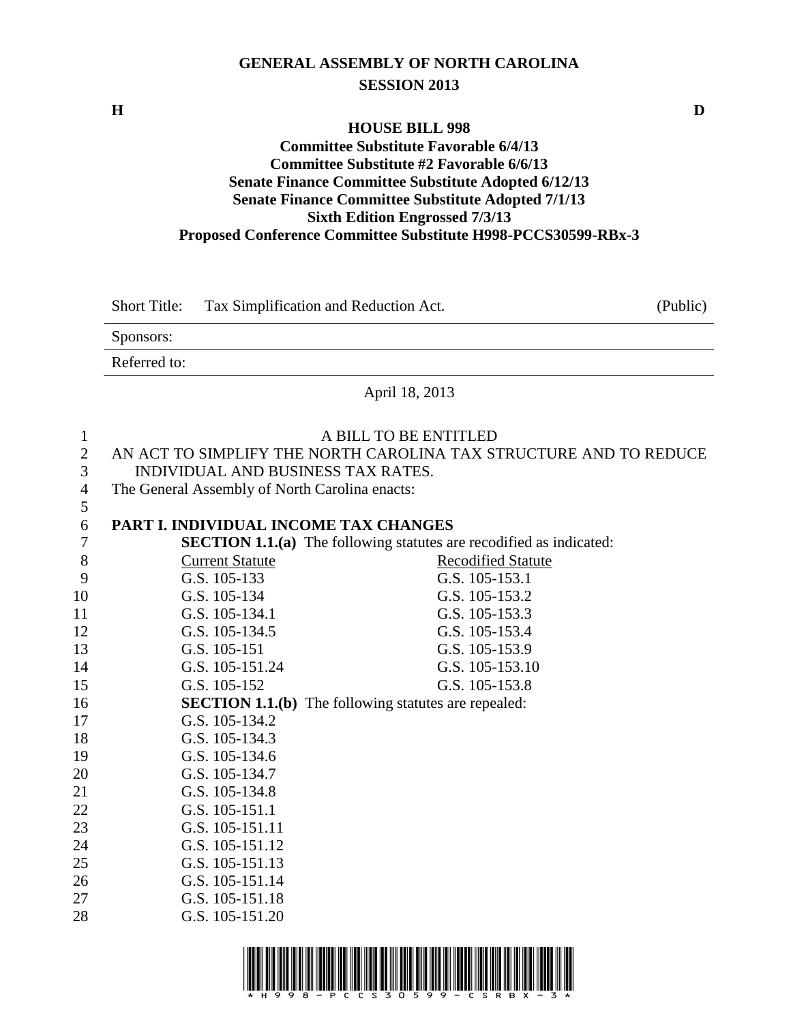## **GENERAL ASSEMBLY OF NORTH CAROLINA SESSION 2013**

**H D**

 $\frac{5}{6}$ 

### **HOUSE BILL 998 Committee Substitute Favorable 6/4/13 Committee Substitute #2 Favorable 6/6/13 Senate Finance Committee Substitute Adopted 6/12/13 Senate Finance Committee Substitute Adopted 7/1/13 Sixth Edition Engrossed 7/3/13 Proposed Conference Committee Substitute H998-PCCS30599-RBx-3**

|   | Tax Simplification and Reduction Act.<br><b>Short Title:</b>      | (Public) |
|---|-------------------------------------------------------------------|----------|
|   | Sponsors:                                                         |          |
|   | Referred to:                                                      |          |
|   | April 18, 2013                                                    |          |
|   | A BILL TO BE ENTITLED                                             |          |
| 2 | AN ACT TO SIMPLIFY THE NORTH CAROLINA TAX STRUCTURE AND TO REDUCE |          |
| 3 | INDIVIDUAL AND BUSINESS TAX RATES.                                |          |
| 4 | The General Assembly of North Carolina enacts:                    |          |
| 5 |                                                                   |          |

# 6 **PART I. INDIVIDUAL INCOME TAX CHANGES**

| 7  |                        | <b>SECTION 1.1.(a)</b> The following statutes are recodified as indicated: |
|----|------------------------|----------------------------------------------------------------------------|
| 8  | <b>Current Statute</b> | <b>Recodified Statute</b>                                                  |
| 9  | G.S. 105-133           | G.S. 105-153.1                                                             |
| 10 | G.S. 105-134           | G.S. 105-153.2                                                             |
| 11 | G.S. 105-134.1         | G.S. 105-153.3                                                             |
| 12 | G.S. 105-134.5         | G.S. 105-153.4                                                             |
| 13 | G.S. 105-151           | G.S. 105-153.9                                                             |
| 14 | G.S. 105-151.24        | G.S. 105-153.10                                                            |
| 15 | G.S. 105-152           | G.S. 105-153.8                                                             |
| 16 |                        | <b>SECTION 1.1.(b)</b> The following statutes are repealed:                |
| 17 | G.S. 105-134.2         |                                                                            |
| 18 | G.S. 105-134.3         |                                                                            |
| 19 | G.S. 105-134.6         |                                                                            |
| 20 | G.S. 105-134.7         |                                                                            |
| 21 | G.S. 105-134.8         |                                                                            |
| 22 | G.S. 105-151.1         |                                                                            |
| 23 | G.S. 105-151.11        |                                                                            |
| 24 | G.S. 105-151.12        |                                                                            |
| 25 | G.S. 105-151.13        |                                                                            |
| 26 | G.S. 105-151.14        |                                                                            |
| 27 | G.S. 105-151.18        |                                                                            |
| 28 | G.S. 105-151.20        |                                                                            |

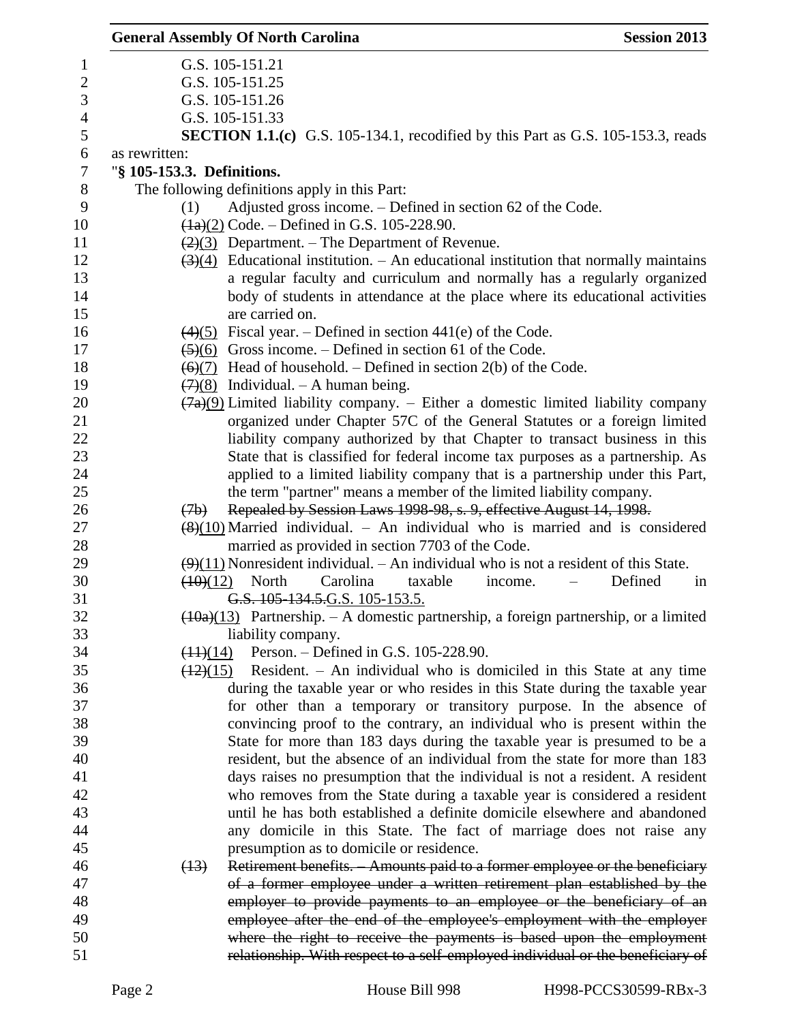|                | <b>General Assembly Of North Carolina</b>                                                                | <b>Session 2013</b> |
|----------------|----------------------------------------------------------------------------------------------------------|---------------------|
| 1              | G.S. 105-151.21                                                                                          |                     |
| $\mathbf{2}$   | G.S. 105-151.25                                                                                          |                     |
| $\mathfrak{Z}$ | G.S. 105-151.26                                                                                          |                     |
| $\overline{4}$ | G.S. 105-151.33                                                                                          |                     |
| 5              | <b>SECTION 1.1.(c)</b> G.S. 105-134.1, recodified by this Part as G.S. 105-153.3, reads                  |                     |
| 6              | as rewritten:                                                                                            |                     |
| $\tau$         | "§ 105-153.3. Definitions.                                                                               |                     |
| $8\,$          | The following definitions apply in this Part:                                                            |                     |
| 9              | Adjusted gross income. – Defined in section 62 of the Code.<br>(1)                                       |                     |
| 10             | $(1a)(2)$ Code. – Defined in G.S. 105-228.90.                                                            |                     |
| 11             | $\left(\frac{2}{3}\right)$ Department. – The Department of Revenue.                                      |                     |
| 12             | $\left(\frac{3}{4}\right)$ Educational institution. – An educational institution that normally maintains |                     |
| 13             | a regular faculty and curriculum and normally has a regularly organized                                  |                     |
| 14             | body of students in attendance at the place where its educational activities                             |                     |
| 15             | are carried on.                                                                                          |                     |
| 16             | $\left(\frac{4}{5}\right)$ Fiscal year. – Defined in section 441(e) of the Code.                         |                     |
| 17             | $\left(\frac{5}{6}\right)$ Gross income. – Defined in section 61 of the Code.                            |                     |
| 18             | $\overline{(6)(7)}$ Head of household. – Defined in section 2(b) of the Code.                            |                     |
| 19             | $(7)(8)$ Individual. – A human being.                                                                    |                     |
| 20             | $\frac{(7a)(9)}{(7a)(9)}$ Limited liability company. – Either a domestic limited liability company       |                     |
| 21             | organized under Chapter 57C of the General Statutes or a foreign limited                                 |                     |
| 22             | liability company authorized by that Chapter to transact business in this                                |                     |
| 23             | State that is classified for federal income tax purposes as a partnership. As                            |                     |
| 24             | applied to a limited liability company that is a partnership under this Part,                            |                     |
| 25             | the term "partner" means a member of the limited liability company.                                      |                     |
| 26             | Repealed by Session Laws 1998 98, s. 9, effective August 14, 1998.<br>(7b)                               |                     |
| 27             | $(8)(10)$ Married individual. – An individual who is married and is considered                           |                     |
| 28             | married as provided in section 7703 of the Code.                                                         |                     |
| 29             | $\left(\frac{9}{11}\right)$ Nonresident individual. – An individual who is not a resident of this State. |                     |
| 30             | North<br>Carolina<br>taxable<br>(10)(12)<br>income.                                                      | Defined<br>in       |
| 31             | G.S. 105-134.5.G.S. 105-153.5.                                                                           |                     |
| 32             | $\frac{(10a)(13)}{(10a)(13)}$ Partnership. – A domestic partnership, a foreign partnership, or a limited |                     |
| 33             | liability company.                                                                                       |                     |
| 34             | $(11)(14)$ Person. – Defined in G.S. 105-228.90.                                                         |                     |
| 35             | $\frac{(12)(15)}{(12)(15)}$ Resident. – An individual who is domiciled in this State at any time         |                     |
| 36             | during the taxable year or who resides in this State during the taxable year                             |                     |
| 37             | for other than a temporary or transitory purpose. In the absence of                                      |                     |
| 38             | convincing proof to the contrary, an individual who is present within the                                |                     |
| 39             | State for more than 183 days during the taxable year is presumed to be a                                 |                     |
| 40             | resident, but the absence of an individual from the state for more than 183                              |                     |
| 41             | days raises no presumption that the individual is not a resident. A resident                             |                     |
| 42             | who removes from the State during a taxable year is considered a resident                                |                     |
| 43             | until he has both established a definite domicile elsewhere and abandoned                                |                     |
| 44             | any domicile in this State. The fact of marriage does not raise any                                      |                     |
| 45             | presumption as to domicile or residence.                                                                 |                     |
| 46             | Retirement benefits. - Amounts paid to a former employee or the beneficiary<br>(13)                      |                     |
| 47             | of a former employee under a written retirement plan established by the                                  |                     |
| 48             | employer to provide payments to an employee or the beneficiary of an                                     |                     |
| 49             | employee after the end of the employee's employment with the employer                                    |                     |
| 50             | where the right to receive the payments is based upon the employment                                     |                     |
| 51             | relationship. With respect to a self-employed individual or the beneficiary of                           |                     |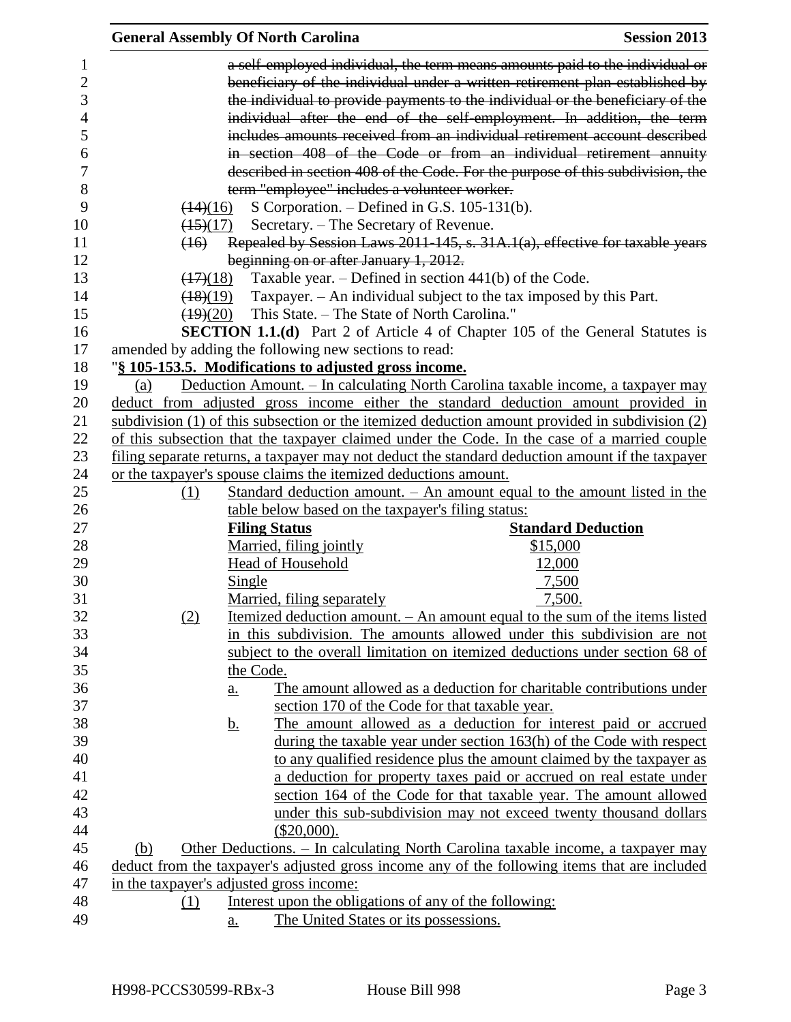|                                                 | <b>General Assembly Of North Carolina</b> |                   |                                                       |                                                                                                                                                                                                                                                                                                                                                                                                       | <b>Session 2013</b>       |
|-------------------------------------------------|-------------------------------------------|-------------------|-------------------------------------------------------|-------------------------------------------------------------------------------------------------------------------------------------------------------------------------------------------------------------------------------------------------------------------------------------------------------------------------------------------------------------------------------------------------------|---------------------------|
| 1<br>$\overline{c}$<br>3<br>$\overline{4}$<br>5 |                                           |                   |                                                       | a self-employed individual, the term means amounts paid to the individual or<br>beneficiary of the individual under a written retirement plan established by<br>the individual to provide payments to the individual or the beneficiary of the<br>individual after the end of the self-employment. In addition, the term<br>includes amounts received from an individual retirement account described |                           |
| 6                                               |                                           |                   |                                                       | in section 408 of the Code or from an individual retirement annuity                                                                                                                                                                                                                                                                                                                                   |                           |
| 7                                               |                                           |                   |                                                       | described in section 408 of the Code. For the purpose of this subdivision, the                                                                                                                                                                                                                                                                                                                        |                           |
| 8                                               |                                           |                   |                                                       | term "employee" includes a volunteer worker.                                                                                                                                                                                                                                                                                                                                                          |                           |
| 9                                               | $\left(14\right)\left(16\right)$          |                   |                                                       | S Corporation. $-$ Defined in G.S. 105-131(b).                                                                                                                                                                                                                                                                                                                                                        |                           |
| 10                                              | $\frac{(15)(17)}{2}$                      |                   | Secretary. - The Secretary of Revenue.                |                                                                                                                                                                                                                                                                                                                                                                                                       |                           |
| 11                                              | (16)                                      |                   |                                                       | Repealed by Session Laws 2011-145, s. 31A.1(a), effective for taxable years                                                                                                                                                                                                                                                                                                                           |                           |
| 12                                              |                                           |                   | beginning on or after January 1, 2012.                |                                                                                                                                                                                                                                                                                                                                                                                                       |                           |
| 13                                              | $\left(\frac{17}{18}\right)$              |                   |                                                       | Taxable year. $-$ Defined in section 441(b) of the Code.                                                                                                                                                                                                                                                                                                                                              |                           |
| 14                                              | $\frac{(18)(19)}{2}$                      |                   |                                                       | Taxpayer. - An individual subject to the tax imposed by this Part.                                                                                                                                                                                                                                                                                                                                    |                           |
| 15                                              |                                           |                   |                                                       | $\overline{(19)(20)}$ This State. – The State of North Carolina."                                                                                                                                                                                                                                                                                                                                     |                           |
| 16                                              |                                           |                   |                                                       | <b>SECTION 1.1.(d)</b> Part 2 of Article 4 of Chapter 105 of the General Statutes is                                                                                                                                                                                                                                                                                                                  |                           |
| 17                                              |                                           |                   | amended by adding the following new sections to read: |                                                                                                                                                                                                                                                                                                                                                                                                       |                           |
| 18                                              |                                           |                   | "§ 105-153.5. Modifications to adjusted gross income. |                                                                                                                                                                                                                                                                                                                                                                                                       |                           |
| 19                                              | (a)                                       |                   |                                                       | Deduction Amount. – In calculating North Carolina taxable income, a taxpayer may                                                                                                                                                                                                                                                                                                                      |                           |
| 20                                              |                                           |                   |                                                       | deduct from adjusted gross income either the standard deduction amount provided in                                                                                                                                                                                                                                                                                                                    |                           |
| 21                                              |                                           |                   |                                                       | subdivision $(1)$ of this subsection or the itemized deduction amount provided in subdivision $(2)$                                                                                                                                                                                                                                                                                                   |                           |
| 22                                              |                                           |                   |                                                       | of this subsection that the taxpayer claimed under the Code. In the case of a married couple                                                                                                                                                                                                                                                                                                          |                           |
| 23                                              |                                           |                   |                                                       | filing separate returns, a taxpayer may not deduct the standard deduction amount if the taxpayer                                                                                                                                                                                                                                                                                                      |                           |
| 24                                              |                                           |                   |                                                       | or the taxpayer's spouse claims the itemized deductions amount.                                                                                                                                                                                                                                                                                                                                       |                           |
| 25                                              | (1)                                       |                   |                                                       | Standard deduction amount. $-$ An amount equal to the amount listed in the                                                                                                                                                                                                                                                                                                                            |                           |
| 26                                              |                                           |                   |                                                       | table below based on the taxpayer's filing status:                                                                                                                                                                                                                                                                                                                                                    |                           |
| 27                                              |                                           |                   | <b>Filing Status</b>                                  |                                                                                                                                                                                                                                                                                                                                                                                                       | <b>Standard Deduction</b> |
| 28                                              |                                           |                   | Married, filing jointly                               | \$15,000                                                                                                                                                                                                                                                                                                                                                                                              |                           |
| 29                                              |                                           |                   | <b>Head of Household</b>                              | 12,000                                                                                                                                                                                                                                                                                                                                                                                                |                           |
| 30                                              |                                           | Single            |                                                       | 7,500                                                                                                                                                                                                                                                                                                                                                                                                 |                           |
| 31                                              |                                           |                   | Married, filing separately                            | 7,500                                                                                                                                                                                                                                                                                                                                                                                                 |                           |
| 32                                              | (2)                                       |                   |                                                       | <u>Itemized deduction amount. – An amount equal to the sum of the items listed</u>                                                                                                                                                                                                                                                                                                                    |                           |
| 33                                              |                                           |                   |                                                       | in this subdivision. The amounts allowed under this subdivision are not                                                                                                                                                                                                                                                                                                                               |                           |
| 34                                              |                                           |                   |                                                       |                                                                                                                                                                                                                                                                                                                                                                                                       |                           |
| 35                                              |                                           |                   |                                                       | subject to the overall limitation on itemized deductions under section 68 of                                                                                                                                                                                                                                                                                                                          |                           |
|                                                 |                                           | the Code.         |                                                       |                                                                                                                                                                                                                                                                                                                                                                                                       |                           |
| 36                                              |                                           | $\underline{a}$ . |                                                       | The amount allowed as a deduction for charitable contributions under                                                                                                                                                                                                                                                                                                                                  |                           |
| 37                                              |                                           |                   |                                                       | section 170 of the Code for that taxable year.                                                                                                                                                                                                                                                                                                                                                        |                           |
| 38                                              |                                           | <u>b.</u>         |                                                       | The amount allowed as a deduction for interest paid or accrued                                                                                                                                                                                                                                                                                                                                        |                           |
| 39                                              |                                           |                   |                                                       | during the taxable year under section 163(h) of the Code with respect                                                                                                                                                                                                                                                                                                                                 |                           |
| 40                                              |                                           |                   |                                                       | to any qualified residence plus the amount claimed by the taxpayer as                                                                                                                                                                                                                                                                                                                                 |                           |
| 41                                              |                                           |                   |                                                       | a deduction for property taxes paid or accrued on real estate under                                                                                                                                                                                                                                                                                                                                   |                           |
| 42                                              |                                           |                   |                                                       | section 164 of the Code for that taxable year. The amount allowed                                                                                                                                                                                                                                                                                                                                     |                           |
| 43                                              |                                           |                   |                                                       | under this sub-subdivision may not exceed twenty thousand dollars                                                                                                                                                                                                                                                                                                                                     |                           |
| 44                                              |                                           |                   | $(\$20,000).$                                         |                                                                                                                                                                                                                                                                                                                                                                                                       |                           |
| 45                                              | (b)                                       |                   |                                                       | Other Deductions. - In calculating North Carolina taxable income, a taxpayer may                                                                                                                                                                                                                                                                                                                      |                           |
| 46                                              |                                           |                   |                                                       | deduct from the taxpayer's adjusted gross income any of the following items that are included                                                                                                                                                                                                                                                                                                         |                           |
| 47                                              | in the taxpayer's adjusted gross income:  |                   |                                                       |                                                                                                                                                                                                                                                                                                                                                                                                       |                           |
| 48                                              | (1)                                       |                   |                                                       | Interest upon the obligations of any of the following:                                                                                                                                                                                                                                                                                                                                                |                           |
| 49                                              |                                           | $\underline{a}$ . |                                                       | The United States or its possessions.                                                                                                                                                                                                                                                                                                                                                                 |                           |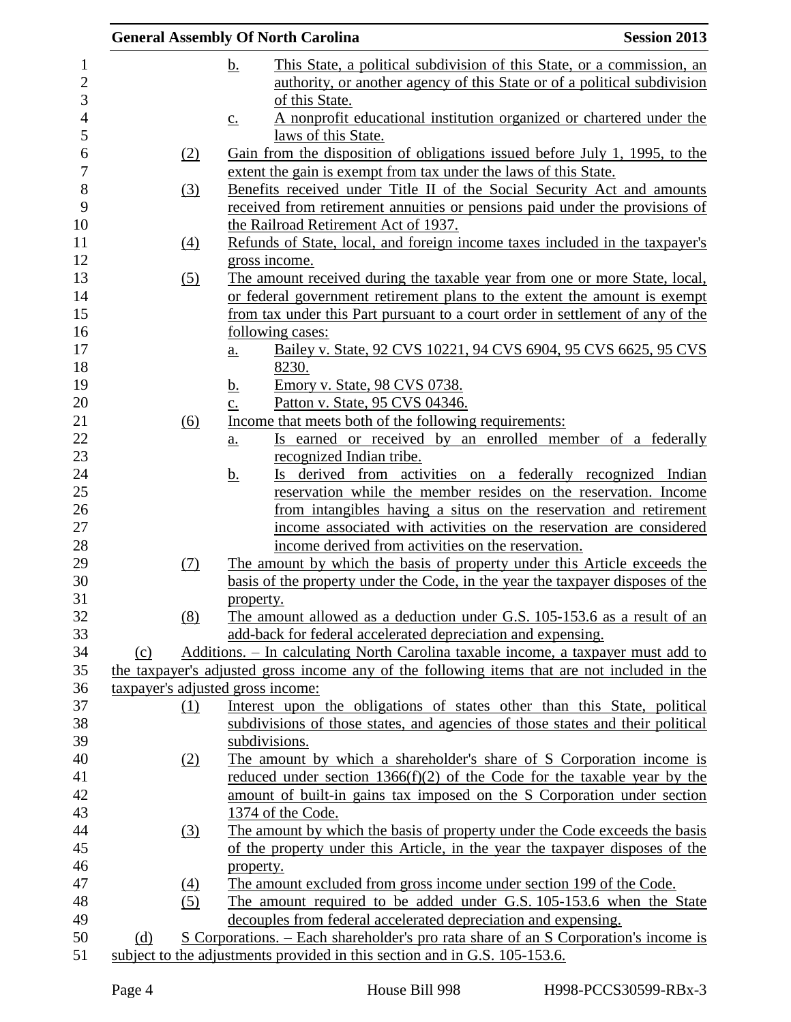|     |     | <b>General Assembly Of North Carolina</b>                                                    | <b>Session 2013</b> |
|-----|-----|----------------------------------------------------------------------------------------------|---------------------|
|     |     | <u>b.</u><br>This State, a political subdivision of this State, or a commission, an          |                     |
|     |     | authority, or another agency of this State or of a political subdivision                     |                     |
|     |     | of this State.                                                                               |                     |
|     |     | A nonprofit educational institution organized or chartered under the<br>$\underline{c}$ .    |                     |
|     |     | laws of this State.                                                                          |                     |
|     | (2) | Gain from the disposition of obligations issued before July 1, 1995, to the                  |                     |
|     |     | extent the gain is exempt from tax under the laws of this State.                             |                     |
|     | (3) | Benefits received under Title II of the Social Security Act and amounts                      |                     |
|     |     | received from retirement annuities or pensions paid under the provisions of                  |                     |
|     |     | the Railroad Retirement Act of 1937.                                                         |                     |
|     | (4) | Refunds of State, local, and foreign income taxes included in the taxpayer's                 |                     |
|     |     | gross income.                                                                                |                     |
|     | (5) | The amount received during the taxable year from one or more State, local,                   |                     |
|     |     | or federal government retirement plans to the extent the amount is exempt                    |                     |
|     |     | from tax under this Part pursuant to a court order in settlement of any of the               |                     |
|     |     | <u>following cases:</u>                                                                      |                     |
|     |     | Bailey v. State, 92 CVS 10221, 94 CVS 6904, 95 CVS 6625, 95 CVS<br>$\underline{a}$ .         |                     |
|     |     | 8230.                                                                                        |                     |
|     |     | Emory v. State, 98 CVS 0738.<br><u>b.</u><br>Patton v. State, 95 CVS 04346.                  |                     |
|     | (6) | $\underline{c}$ .<br>Income that meets both of the following requirements:                   |                     |
|     |     | Is earned or received by an enrolled member of a federally                                   |                     |
|     |     | a.<br>recognized Indian tribe.                                                               |                     |
|     |     | Is derived from activities on a federally recognized Indian<br><u>b.</u>                     |                     |
|     |     | reservation while the member resides on the reservation. Income                              |                     |
|     |     | from intangibles having a situs on the reservation and retirement                            |                     |
|     |     | income associated with activities on the reservation are considered                          |                     |
|     |     | income derived from activities on the reservation.                                           |                     |
|     | (7) | The amount by which the basis of property under this Article exceeds the                     |                     |
|     |     | basis of the property under the Code, in the year the taxpayer disposes of the               |                     |
|     |     | property.                                                                                    |                     |
|     | (8) | The amount allowed as a deduction under G.S. 105-153.6 as a result of an                     |                     |
|     |     | add-back for federal accelerated depreciation and expensing.                                 |                     |
| (c) |     | Additions. - In calculating North Carolina taxable income, a taxpayer must add to            |                     |
|     |     | the taxpayer's adjusted gross income any of the following items that are not included in the |                     |
|     |     | taxpayer's adjusted gross income:                                                            |                     |
|     | (1) | Interest upon the obligations of states other than this State, political                     |                     |
|     |     | subdivisions of those states, and agencies of those states and their political               |                     |
|     |     | subdivisions.                                                                                |                     |
|     | (2) | The amount by which a shareholder's share of S Corporation income is                         |                     |
|     |     | reduced under section $1366(f)(2)$ of the Code for the taxable year by the                   |                     |
|     |     | amount of built-in gains tax imposed on the S Corporation under section                      |                     |
|     |     | 1374 of the Code.                                                                            |                     |
|     | (3) | The amount by which the basis of property under the Code exceeds the basis                   |                     |
|     |     | of the property under this Article, in the year the taxpayer disposes of the                 |                     |
|     |     | property.                                                                                    |                     |
|     | (4) | The amount excluded from gross income under section 199 of the Code.                         |                     |
|     | (5) | The amount required to be added under G.S. 105-153.6 when the State                          |                     |
|     |     | decouples from federal accelerated depreciation and expensing.                               |                     |
| (d) |     | S Corporations. – Each shareholder's pro rata share of an S Corporation's income is          |                     |
|     |     | subject to the adjustments provided in this section and in G.S. 105-153.6.                   |                     |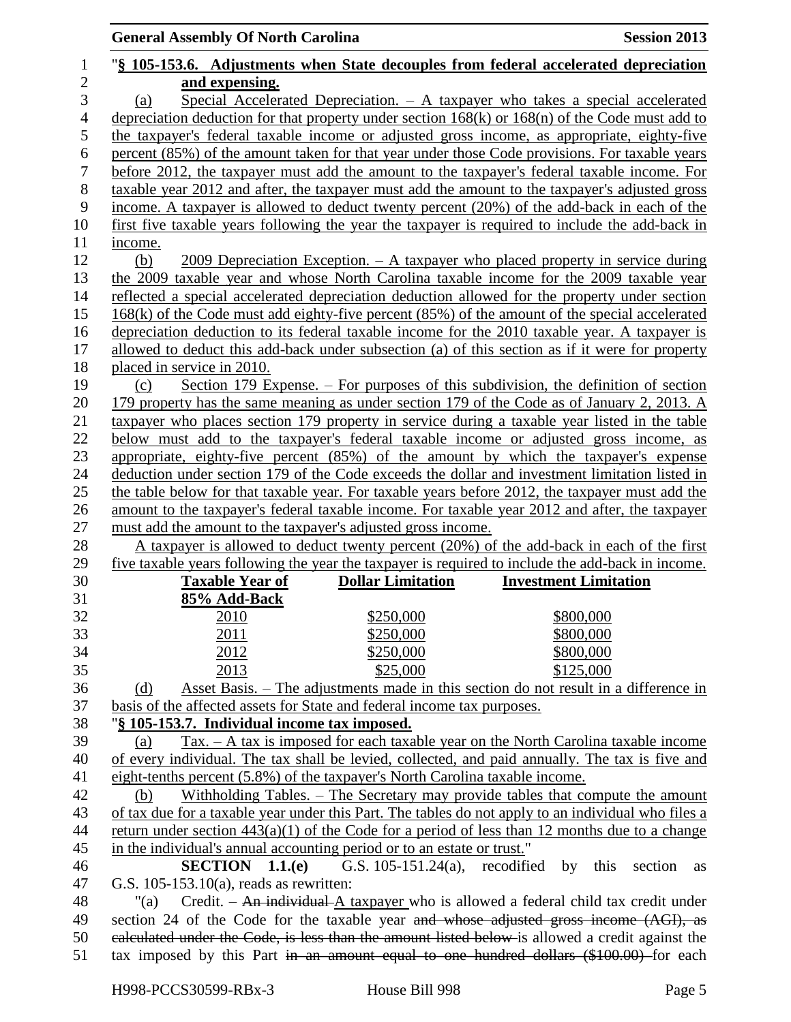|                     | <b>General Assembly Of North Carolina</b>                                    |                          | <b>Session 2013</b>                                                                                                                                                                               |
|---------------------|------------------------------------------------------------------------------|--------------------------|---------------------------------------------------------------------------------------------------------------------------------------------------------------------------------------------------|
| $\mathbf{1}$        |                                                                              |                          | "§ 105-153.6. Adjustments when State decouples from federal accelerated depreciation                                                                                                              |
| $\overline{2}$<br>3 | and expensing.<br>(a)                                                        |                          | Special Accelerated Depreciation. - A taxpayer who takes a special accelerated                                                                                                                    |
| $\overline{4}$      |                                                                              |                          | depreciation deduction for that property under section $168(k)$ or $168(n)$ of the Code must add to                                                                                               |
| 5                   |                                                                              |                          | the taxpayer's federal taxable income or adjusted gross income, as appropriate, eighty-five                                                                                                       |
| 6                   |                                                                              |                          | percent (85%) of the amount taken for that year under those Code provisions. For taxable years                                                                                                    |
| $\boldsymbol{7}$    |                                                                              |                          | before 2012, the taxpayer must add the amount to the taxpayer's federal taxable income. For                                                                                                       |
| 8                   |                                                                              |                          | taxable year 2012 and after, the taxpayer must add the amount to the taxpayer's adjusted gross                                                                                                    |
| 9                   |                                                                              |                          | income. A taxpayer is allowed to deduct twenty percent (20%) of the add-back in each of the                                                                                                       |
| 10                  |                                                                              |                          | first five taxable years following the year the taxpayer is required to include the add-back in                                                                                                   |
| 11                  | income.                                                                      |                          |                                                                                                                                                                                                   |
| 12                  | (b)                                                                          |                          | $2009$ Depreciation Exception. - A taxpayer who placed property in service during                                                                                                                 |
| 13                  |                                                                              |                          | the 2009 taxable year and whose North Carolina taxable income for the 2009 taxable year                                                                                                           |
| 14                  |                                                                              |                          | reflected a special accelerated depreciation deduction allowed for the property under section                                                                                                     |
| 15                  |                                                                              |                          | $168(k)$ of the Code must add eighty-five percent $(85%)$ of the amount of the special accelerated                                                                                                |
| 16                  |                                                                              |                          | depreciation deduction to its federal taxable income for the 2010 taxable year. A taxpayer is                                                                                                     |
| 17                  |                                                                              |                          | allowed to deduct this add-back under subsection (a) of this section as if it were for property                                                                                                   |
| 18                  | placed in service in 2010.                                                   |                          |                                                                                                                                                                                                   |
| 19                  | (c)                                                                          |                          | Section 179 Expense. $-$ For purposes of this subdivision, the definition of section                                                                                                              |
| 20                  |                                                                              |                          | 179 property has the same meaning as under section 179 of the Code as of January 2, 2013. A                                                                                                       |
| 21                  |                                                                              |                          | taxpayer who places section 179 property in service during a taxable year listed in the table                                                                                                     |
| 22                  |                                                                              |                          | below must add to the taxpayer's federal taxable income or adjusted gross income, as                                                                                                              |
| 23                  |                                                                              |                          | appropriate, eighty-five percent (85%) of the amount by which the taxpayer's expense                                                                                                              |
| 24                  |                                                                              |                          | deduction under section 179 of the Code exceeds the dollar and investment limitation listed in                                                                                                    |
| 25<br>26            |                                                                              |                          | the table below for that taxable year. For taxable years before 2012, the taxpayer must add the<br>amount to the taxpayer's federal taxable income. For taxable year 2012 and after, the taxpayer |
| 27                  | must add the amount to the taxpayer's adjusted gross income.                 |                          |                                                                                                                                                                                                   |
| 28                  |                                                                              |                          | A taxpayer is allowed to deduct twenty percent (20%) of the add-back in each of the first                                                                                                         |
| 29                  |                                                                              |                          | five taxable years following the year the taxpayer is required to include the add-back in income.                                                                                                 |
| 30                  | <b>Taxable Year of</b>                                                       | <b>Dollar Limitation</b> | <b>Investment Limitation</b>                                                                                                                                                                      |
| 31                  | 85% Add-Back                                                                 |                          |                                                                                                                                                                                                   |
| 32                  | 2010                                                                         | \$250,000                | \$800,000                                                                                                                                                                                         |
| 33                  | 2011                                                                         | \$250,000                | \$800,000                                                                                                                                                                                         |
| 34                  | 2012                                                                         | \$250,000                | \$800,000                                                                                                                                                                                         |
| 35                  | 2013                                                                         | \$25,000                 | \$125,000                                                                                                                                                                                         |
| 36                  | (d)                                                                          |                          | Asset Basis. – The adjustments made in this section do not result in a difference in                                                                                                              |
| 37                  | basis of the affected assets for State and federal income tax purposes.      |                          |                                                                                                                                                                                                   |
| 38                  | "§ 105-153.7. Individual income tax imposed.                                 |                          |                                                                                                                                                                                                   |
| 39                  | (a)                                                                          |                          | $\text{Tax.} - \text{A tax}$ is imposed for each taxable year on the North Carolina taxable income                                                                                                |
| 40                  |                                                                              |                          | of every individual. The tax shall be levied, collected, and paid annually. The tax is five and                                                                                                   |
| 41                  | eight-tenths percent (5.8%) of the taxpayer's North Carolina taxable income. |                          |                                                                                                                                                                                                   |
| 42                  | (b)                                                                          |                          | Withholding Tables. – The Secretary may provide tables that compute the amount                                                                                                                    |
| 43                  |                                                                              |                          | of tax due for a taxable year under this Part. The tables do not apply to an individual who files a                                                                                               |
| 44                  |                                                                              |                          | return under section $443(a)(1)$ of the Code for a period of less than 12 months due to a change                                                                                                  |
| 45                  | in the individual's annual accounting period or to an estate or trust."      |                          |                                                                                                                                                                                                   |
| 46                  | SECTION 1.1(e)                                                               |                          | G.S. $105-151.24(a)$ , recodified by this<br>section<br>as                                                                                                                                        |
| 47                  | G.S. $105-153.10(a)$ , reads as rewritten:                                   |                          |                                                                                                                                                                                                   |
| 48                  | "(a)                                                                         |                          | Credit. $-$ An individual A taxpayer who is allowed a federal child tax credit under                                                                                                              |
| 49                  |                                                                              |                          | section 24 of the Code for the taxable year and whose adjusted gross income (AGI), as                                                                                                             |
| 50<br>51            |                                                                              |                          | ealculated under the Code, is less than the amount listed below is allowed a credit against the<br>tax imposed by this Part in an amount equal to one hundred dollars (\$100.00) for each         |
|                     |                                                                              |                          |                                                                                                                                                                                                   |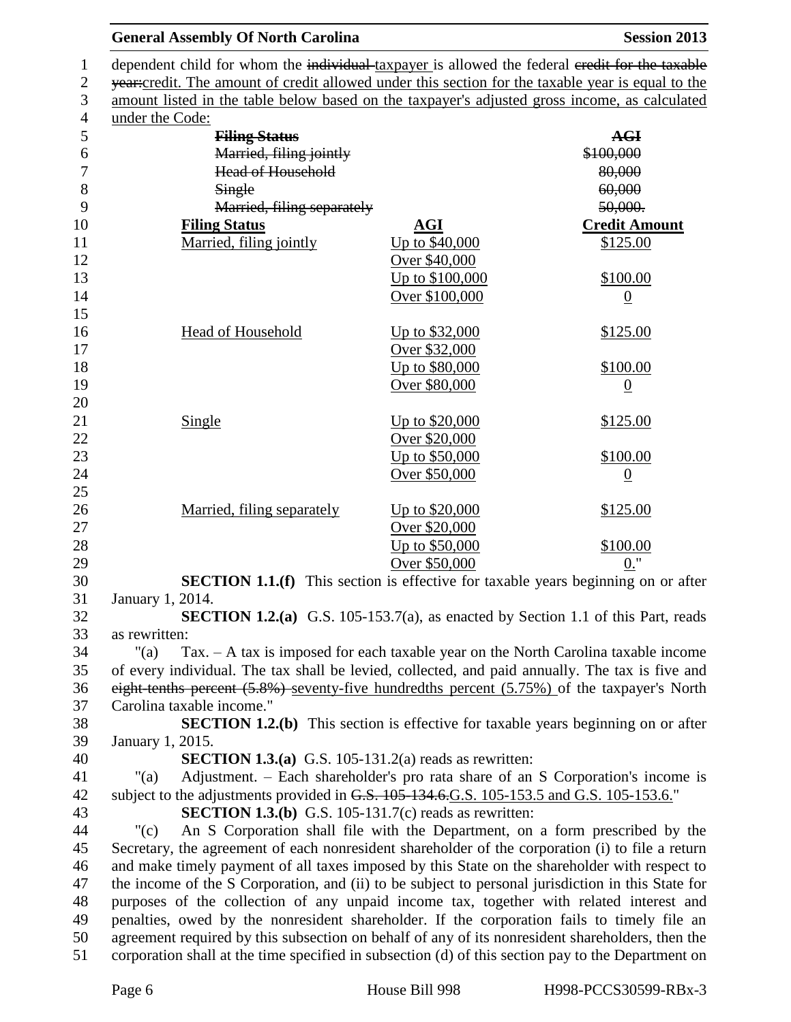|                           | <b>General Assembly Of North Carolina</b>           |                                                                                           | <b>Session 2013</b>                                                                                |
|---------------------------|-----------------------------------------------------|-------------------------------------------------------------------------------------------|----------------------------------------------------------------------------------------------------|
|                           |                                                     |                                                                                           | dependent child for whom the individual taxpayer is allowed the federal eredit for the taxable     |
|                           |                                                     |                                                                                           | year:credit. The amount of credit allowed under this section for the taxable year is equal to the  |
|                           |                                                     |                                                                                           | amount listed in the table below based on the taxpayer's adjusted gross income, as calculated      |
| under the Code:           |                                                     |                                                                                           |                                                                                                    |
|                           | <b>Filing Status</b>                                |                                                                                           | <b>AGI</b>                                                                                         |
|                           | Married, filing jointly<br><b>Head of Household</b> |                                                                                           | \$100,000                                                                                          |
|                           | Single                                              |                                                                                           | 80,000<br>60,000                                                                                   |
|                           | Married, filing separately                          |                                                                                           | 50,000.                                                                                            |
| <b>Filing Status</b>      |                                                     | AGI                                                                                       | <b>Credit Amount</b>                                                                               |
|                           | Married, filing jointly                             | Up to \$40,000                                                                            | \$125.00                                                                                           |
|                           |                                                     | Over \$40,000                                                                             |                                                                                                    |
|                           |                                                     | Up to \$100,000                                                                           | \$100.00                                                                                           |
|                           |                                                     | Over \$100,000                                                                            | $\overline{0}$                                                                                     |
|                           |                                                     |                                                                                           |                                                                                                    |
|                           | Head of Household                                   | <u>Up to \$32,000</u>                                                                     | \$125.00                                                                                           |
|                           |                                                     | Over \$32,000                                                                             |                                                                                                    |
|                           |                                                     | Up to \$80,000                                                                            | \$100.00                                                                                           |
|                           |                                                     | Over \$80,000                                                                             | $\overline{0}$                                                                                     |
|                           |                                                     |                                                                                           |                                                                                                    |
| <b>Single</b>             |                                                     | <u>Up to \$20,000</u>                                                                     | \$125.00                                                                                           |
|                           |                                                     | Over \$20,000                                                                             |                                                                                                    |
|                           |                                                     | Up to \$50,000                                                                            | \$100.00                                                                                           |
|                           |                                                     | Over \$50,000                                                                             | $\overline{0}$                                                                                     |
|                           | Married, filing separately                          | <u>Up to \$20,000</u>                                                                     | \$125.00                                                                                           |
|                           |                                                     | Over \$20,000                                                                             |                                                                                                    |
|                           |                                                     | Up to \$50,000                                                                            | \$100.00                                                                                           |
|                           |                                                     | Over \$50,000                                                                             | $0.$ "                                                                                             |
|                           |                                                     |                                                                                           | <b>SECTION 1.1.(f)</b> This section is effective for taxable years beginning on or after           |
| January 1, 2014.          |                                                     |                                                                                           |                                                                                                    |
|                           |                                                     |                                                                                           | <b>SECTION 1.2.(a)</b> G.S. 105-153.7(a), as enacted by Section 1.1 of this Part, reads            |
| as rewritten:             |                                                     |                                                                                           |                                                                                                    |
| "(a)                      |                                                     |                                                                                           | $Tax. - A tax$ is imposed for each taxable year on the North Carolina taxable income               |
|                           |                                                     |                                                                                           | of every individual. The tax shall be levied, collected, and paid annually. The tax is five and    |
|                           |                                                     |                                                                                           | eight tenths percent (5.8%) seventy-five hundredths percent (5.75%) of the taxpayer's North        |
| Carolina taxable income." |                                                     |                                                                                           |                                                                                                    |
| January 1, 2015.          |                                                     |                                                                                           | <b>SECTION 1.2.(b)</b> This section is effective for taxable years beginning on or after           |
|                           |                                                     | <b>SECTION 1.3.(a)</b> G.S. 105-131.2(a) reads as rewritten:                              |                                                                                                    |
| "(a)                      |                                                     |                                                                                           | Adjustment. – Each shareholder's pro rata share of an S Corporation's income is                    |
|                           |                                                     | subject to the adjustments provided in G.S. 105-134.6.G.S. 105-153.5 and G.S. 105-153.6." |                                                                                                    |
|                           |                                                     | <b>SECTION 1.3.(b)</b> G.S. 105-131.7(c) reads as rewritten:                              |                                                                                                    |
| "(c)                      |                                                     |                                                                                           | An S Corporation shall file with the Department, on a form prescribed by the                       |
|                           |                                                     |                                                                                           | Secretary, the agreement of each nonresident shareholder of the corporation (i) to file a return   |
|                           |                                                     |                                                                                           | and make timely payment of all taxes imposed by this State on the shareholder with respect to      |
|                           |                                                     |                                                                                           | the income of the S Corporation, and (ii) to be subject to personal jurisdiction in this State for |
|                           |                                                     |                                                                                           | purposes of the collection of any unpaid income tax, together with related interest and            |
|                           |                                                     |                                                                                           | penalties, owed by the nonresident shareholder. If the corporation fails to timely file an         |
|                           |                                                     |                                                                                           | agreement required by this subsection on behalf of any of its nonresident shareholders, then the   |
|                           |                                                     |                                                                                           | corporation shall at the time specified in subsection (d) of this section pay to the Department on |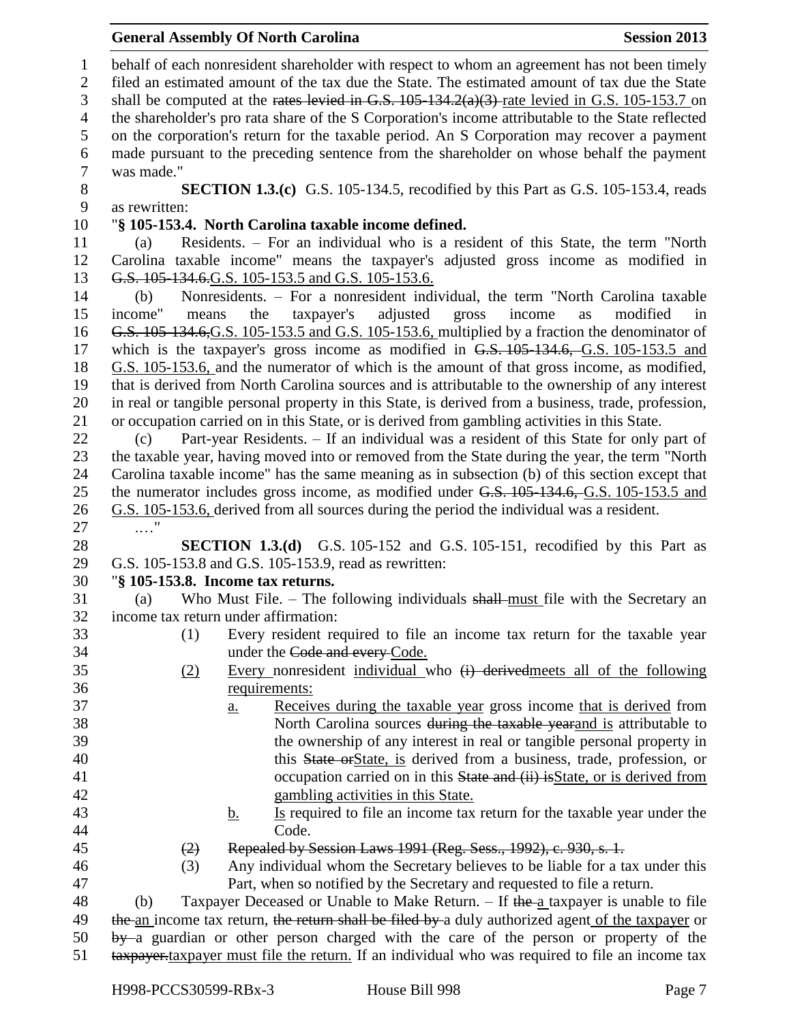| 6      | made pursuant to the preceding sentence from the shareholder on whose behalf the payment            |                |
|--------|-----------------------------------------------------------------------------------------------------|----------------|
| $\tau$ | was made."                                                                                          |                |
| 8      | <b>SECTION 1.3.(c)</b> G.S. 105-134.5, recodified by this Part as G.S. 105-153.4, reads             |                |
| 9      | as rewritten:                                                                                       |                |
| 10     | "§ 105-153.4. North Carolina taxable income defined.                                                |                |
| 11     | Residents. - For an individual who is a resident of this State, the term "North<br>(a)              |                |
| 12     | Carolina taxable income" means the taxpayer's adjusted gross income as modified in                  |                |
| 13     | G.S. 105-134.6. G.S. 105-153.5 and G.S. 105-153.6.                                                  |                |
| 14     | Nonresidents. - For a nonresident individual, the term "North Carolina taxable<br>(b)               |                |
| 15     | income"<br>taxpayer's<br>adjusted<br>gross<br>income<br>the<br>means<br>as                          | modified<br>in |
| 16     | G.S. 105-134.6, G.S. 105-153.5 and G.S. 105-153.6, multiplied by a fraction the denominator of      |                |
| 17     | which is the taxpayer's gross income as modified in G.S. 105-134.6, G.S. 105-153.5 and              |                |
| 18     | G.S. 105-153.6, and the numerator of which is the amount of that gross income, as modified,         |                |
| 19     | that is derived from North Carolina sources and is attributable to the ownership of any interest    |                |
| 20     | in real or tangible personal property in this State, is derived from a business, trade, profession, |                |
| 21     | or occupation carried on in this State, or is derived from gambling activities in this State.       |                |
| 22     | Part-year Residents. - If an individual was a resident of this State for only part of<br>(c)        |                |
| 23     | the taxable year, having moved into or removed from the State during the year, the term "North      |                |
| 24     | Carolina taxable income" has the same meaning as in subsection (b) of this section except that      |                |
| 25     | the numerator includes gross income, as modified under G.S. 105-134.6, G.S. 105-153.5 and           |                |
|        |                                                                                                     |                |
| 26     | G.S. 105-153.6, derived from all sources during the period the individual was a resident.           |                |
| 27     | $\ldots$                                                                                            |                |
| 28     | <b>SECTION 1.3.(d)</b> G.S. 105-152 and G.S. 105-151, recodified by this Part as                    |                |
| 29     | G.S. 105-153.8 and G.S. 105-153.9, read as rewritten:                                               |                |
| 30     | "§ 105-153.8. Income tax returns.                                                                   |                |
| 31     | Who Must File. – The following individuals shall-must file with the Secretary an<br>(a)             |                |
| 32     | income tax return under affirmation:                                                                |                |
| 33     | Every resident required to file an income tax return for the taxable year<br>(1)                    |                |
| 34     | under the Code and every Code.                                                                      |                |
| 35     | Every nonresident individual who $(i)$ derived meets all of the following<br>(2)                    |                |
| 36     | requirements:                                                                                       |                |
| 37     | Receives during the taxable year gross income that is derived from<br><u>a.</u>                     |                |
| 38     | North Carolina sources during the taxable yearand is attributable to                                |                |
| 39     | the ownership of any interest in real or tangible personal property in                              |                |
| 40     | this State or State, is derived from a business, trade, profession, or                              |                |
| 41     | occupation carried on in this State and (ii) is State, or is derived from                           |                |
| 42     | gambling activities in this State.                                                                  |                |
| 43     | Is required to file an income tax return for the taxable year under the<br><u>b.</u>                |                |
| 44     | Code.                                                                                               |                |
| 45     | Repealed by Session Laws 1991 (Reg. Sess., 1992), c. 930, s. 1.<br>(2)                              |                |
| 46     | Any individual whom the Secretary believes to be liable for a tax under this<br>(3)                 |                |
| 47     | Part, when so notified by the Secretary and requested to file a return.                             |                |
| 48     | Taxpayer Deceased or Unable to Make Return. - If the a taxpayer is unable to file<br>(b)            |                |
| 49     | the an income tax return, the return shall be filed by a duly authorized agent of the taxpayer or   |                |
| 50     | by a guardian or other person charged with the care of the person or property of the                |                |
| 51     | taxpayer taxpayer must file the return. If an individual who was required to file an income tax     |                |
|        |                                                                                                     |                |
|        | H998-PCCS30599-RBx-3<br>House Bill 998                                                              | Page 7         |

 behalf of each nonresident shareholder with respect to whom an agreement has not been timely filed an estimated amount of the tax due the State. The estimated amount of tax due the State 3 shall be computed at the rates levied in G.S. 105-134.2(a)(3) rate levied in G.S. 105-153.7 on the shareholder's pro rata share of the S Corporation's income attributable to the State reflected on the corporation's return for the taxable period. An S Corporation may recover a payment

#### **General Assembly Of North Carolina Session 2013**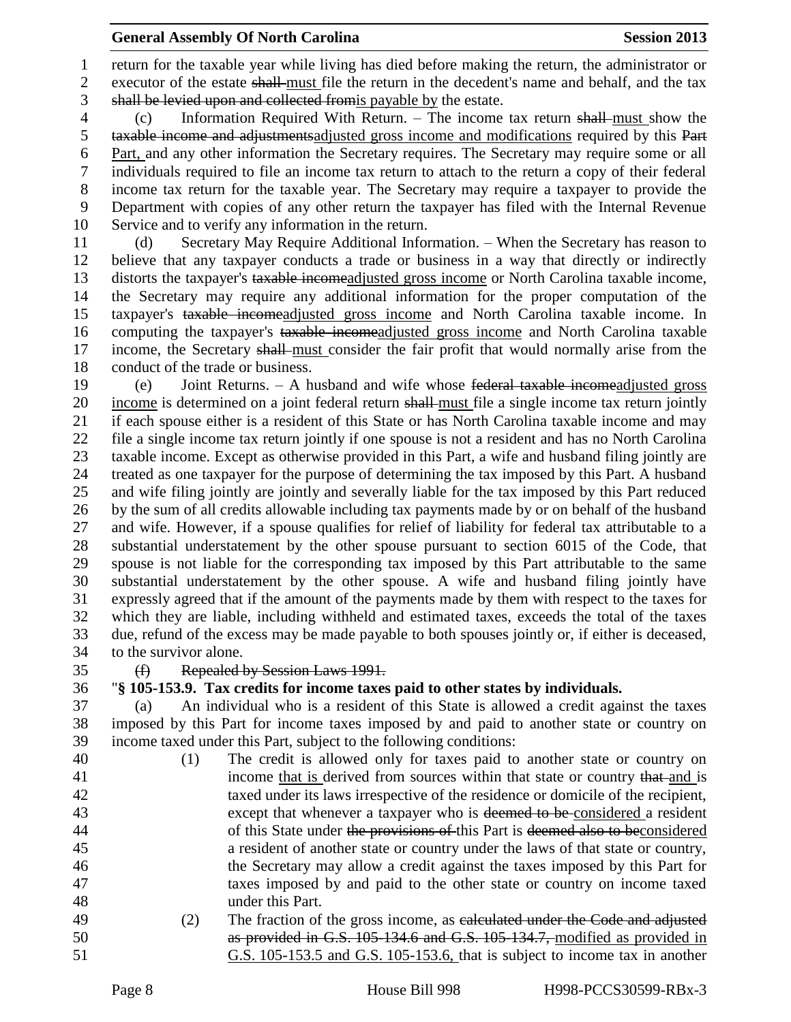return for the taxable year while living has died before making the return, the administrator or executor of the estate shall must file the return in the decedent's name and behalf, and the tax shall be levied upon and collected fromis payable by the estate.

 (c) Information Required With Return. – The income tax return shall must show the taxable income and adjustmentsadjusted gross income and modifications required by this Part Part, and any other information the Secretary requires. The Secretary may require some or all individuals required to file an income tax return to attach to the return a copy of their federal income tax return for the taxable year. The Secretary may require a taxpayer to provide the Department with copies of any other return the taxpayer has filed with the Internal Revenue Service and to verify any information in the return.

 (d) Secretary May Require Additional Information. – When the Secretary has reason to believe that any taxpayer conducts a trade or business in a way that directly or indirectly distorts the taxpayer's taxable incomeadjusted gross income or North Carolina taxable income, the Secretary may require any additional information for the proper computation of the taxpayer's taxable incomeadjusted gross income and North Carolina taxable income. In computing the taxpayer's taxable incomeadjusted gross income and North Carolina taxable 17 income, the Secretary shall-must consider the fair profit that would normally arise from the conduct of the trade or business.

 (e) Joint Returns. – A husband and wife whose federal taxable incomeadjusted gross 20 income is determined on a joint federal return shall must file a single income tax return jointly if each spouse either is a resident of this State or has North Carolina taxable income and may file a single income tax return jointly if one spouse is not a resident and has no North Carolina taxable income. Except as otherwise provided in this Part, a wife and husband filing jointly are treated as one taxpayer for the purpose of determining the tax imposed by this Part. A husband and wife filing jointly are jointly and severally liable for the tax imposed by this Part reduced by the sum of all credits allowable including tax payments made by or on behalf of the husband and wife. However, if a spouse qualifies for relief of liability for federal tax attributable to a substantial understatement by the other spouse pursuant to section 6015 of the Code, that spouse is not liable for the corresponding tax imposed by this Part attributable to the same substantial understatement by the other spouse. A wife and husband filing jointly have expressly agreed that if the amount of the payments made by them with respect to the taxes for which they are liable, including withheld and estimated taxes, exceeds the total of the taxes due, refund of the excess may be made payable to both spouses jointly or, if either is deceased, to the survivor alone.

# (f) Repealed by Session Laws 1991.

### "**§ 105-153.9. Tax credits for income taxes paid to other states by individuals.**

 (a) An individual who is a resident of this State is allowed a credit against the taxes imposed by this Part for income taxes imposed by and paid to another state or country on income taxed under this Part, subject to the following conditions:

- (1) The credit is allowed only for taxes paid to another state or country on 41 income that is derived from sources within that state or country that and is taxed under its laws irrespective of the residence or domicile of the recipient, 43 except that whenever a taxpayer who is deemed to be considered a resident 44 of this State under the provisions of this Part is deemed also to beconsidered a resident of another state or country under the laws of that state or country, the Secretary may allow a credit against the taxes imposed by this Part for taxes imposed by and paid to the other state or country on income taxed under this Part. (2) The fraction of the gross income, as calculated under the Code and adjusted
- as provided in G.S. 105-134.6 and G.S. 105-134.7, modified as provided in G.S. 105-153.5 and G.S. 105-153.6, that is subject to income tax in another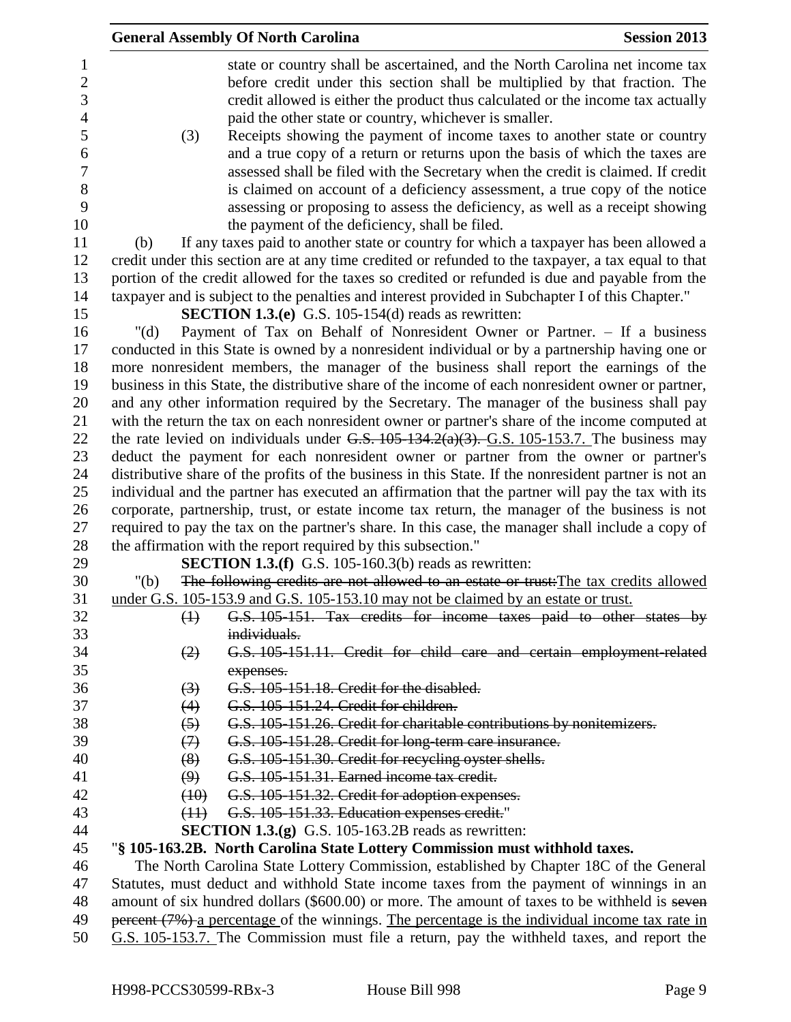|                  | <b>General Assembly Of North Carolina</b>                                                                                                                                                 | <b>Session 2013</b> |
|------------------|-------------------------------------------------------------------------------------------------------------------------------------------------------------------------------------------|---------------------|
| 1                | state or country shall be ascertained, and the North Carolina net income tax                                                                                                              |                     |
| $\boldsymbol{2}$ | before credit under this section shall be multiplied by that fraction. The                                                                                                                |                     |
| 3                | credit allowed is either the product thus calculated or the income tax actually                                                                                                           |                     |
| $\overline{4}$   | paid the other state or country, whichever is smaller.                                                                                                                                    |                     |
| 5                | (3)<br>Receipts showing the payment of income taxes to another state or country                                                                                                           |                     |
| 6                | and a true copy of a return or returns upon the basis of which the taxes are                                                                                                              |                     |
| $\boldsymbol{7}$ | assessed shall be filed with the Secretary when the credit is claimed. If credit                                                                                                          |                     |
| 8                | is claimed on account of a deficiency assessment, a true copy of the notice                                                                                                               |                     |
| 9                | assessing or proposing to assess the deficiency, as well as a receipt showing                                                                                                             |                     |
| 10               | the payment of the deficiency, shall be filed.                                                                                                                                            |                     |
| 11               | If any taxes paid to another state or country for which a taxpayer has been allowed a<br>(b)                                                                                              |                     |
| 12               | credit under this section are at any time credited or refunded to the taxpayer, a tax equal to that                                                                                       |                     |
| 13               | portion of the credit allowed for the taxes so credited or refunded is due and payable from the                                                                                           |                     |
| 14               | taxpayer and is subject to the penalties and interest provided in Subchapter I of this Chapter."                                                                                          |                     |
| 15               | <b>SECTION 1.3.(e)</b> G.S. 105-154(d) reads as rewritten:                                                                                                                                |                     |
| 16               | Payment of Tax on Behalf of Nonresident Owner or Partner. - If a business<br>" $(d)$                                                                                                      |                     |
| 17               | conducted in this State is owned by a nonresident individual or by a partnership having one or                                                                                            |                     |
| 18               | more nonresident members, the manager of the business shall report the earnings of the                                                                                                    |                     |
| 19               | business in this State, the distributive share of the income of each nonresident owner or partner,                                                                                        |                     |
| 20               | and any other information required by the Secretary. The manager of the business shall pay                                                                                                |                     |
| 21               | with the return the tax on each nonresident owner or partner's share of the income computed at                                                                                            |                     |
| 22               | the rate levied on individuals under G.S. $105-134.2(a)(3)$ . G.S. $105-153.7$ . The business may                                                                                         |                     |
| 23               | deduct the payment for each nonresident owner or partner from the owner or partner's                                                                                                      |                     |
| 24               | distributive share of the profits of the business in this State. If the nonresident partner is not an                                                                                     |                     |
| 25               | individual and the partner has executed an affirmation that the partner will pay the tax with its                                                                                         |                     |
| 26               | corporate, partnership, trust, or estate income tax return, the manager of the business is not                                                                                            |                     |
| 27               | required to pay the tax on the partner's share. In this case, the manager shall include a copy of                                                                                         |                     |
| 28               | the affirmation with the report required by this subsection."                                                                                                                             |                     |
| 29               | <b>SECTION 1.3.(f)</b> G.S. 105-160.3(b) reads as rewritten:                                                                                                                              |                     |
| 30               | The following credits are not allowed to an estate or trust: The tax credits allowed<br>"(b)                                                                                              |                     |
| 31               | under G.S. 105-153.9 and G.S. 105-153.10 may not be claimed by an estate or trust.                                                                                                        |                     |
| 32               | $\leftrightarrow$<br>G.S. 105-151. Tax credits for income taxes paid to other states by                                                                                                   |                     |
| 33               | individuals.                                                                                                                                                                              |                     |
| 34               | G.S. 105-151.11. Credit for child care and certain employment-related<br>(2)                                                                                                              |                     |
| 35               | expenses.                                                                                                                                                                                 |                     |
| 36               | G.S. 105-151.18. Credit for the disabled.<br>(3)                                                                                                                                          |                     |
| 37               | (4)<br>G.S. 105-151.24. Credit for children.                                                                                                                                              |                     |
| 38               | G.S. 105-151.26. Credit for charitable contributions by nonitemizers.<br>(5)                                                                                                              |                     |
| 39               | (7)<br>G.S. 105-151.28. Credit for long-term care insurance.                                                                                                                              |                     |
| 40               | G.S. 105-151.30. Credit for recycling oyster shells.<br>(8)                                                                                                                               |                     |
| 41               | (9)<br>G.S. 105-151.31. Earned income tax credit.                                                                                                                                         |                     |
| 42               | G.S. 105-151.32. Credit for adoption expenses.<br>(10)                                                                                                                                    |                     |
| 43               | G.S. 105-151.33. Education expenses credit."<br>(11)                                                                                                                                      |                     |
| 44               | <b>SECTION 1.3.(g)</b> G.S. 105-163.2B reads as rewritten:                                                                                                                                |                     |
| 45               | "§ 105-163.2B. North Carolina State Lottery Commission must withhold taxes.                                                                                                               |                     |
| 46               | The North Carolina State Lottery Commission, established by Chapter 18C of the General                                                                                                    |                     |
| 47<br>48         | Statutes, must deduct and withhold State income taxes from the payment of winnings in an<br>amount of six hundred dollars (\$600.00) or more. The amount of taxes to be withheld is seven |                     |
| 49               | percent (7%) a percentage of the winnings. The percentage is the individual income tax rate in                                                                                            |                     |
| 50               | G.S. 105-153.7. The Commission must file a return, pay the withheld taxes, and report the                                                                                                 |                     |
|                  |                                                                                                                                                                                           |                     |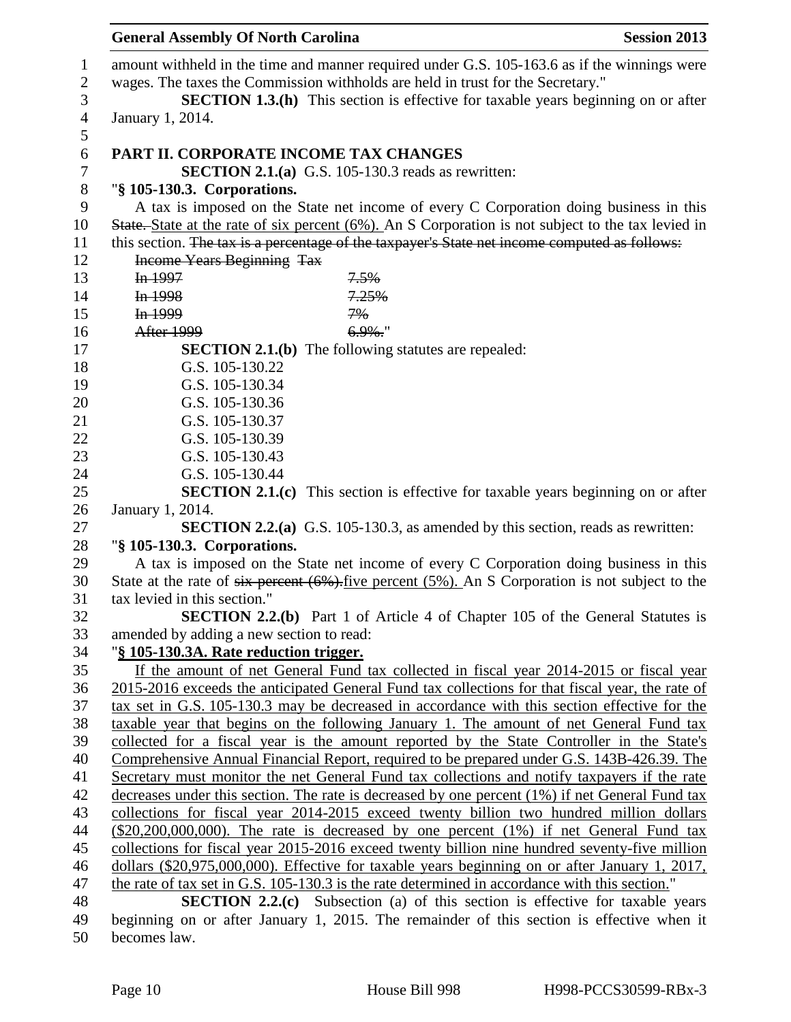| <b>General Assembly Of North Carolina</b> | <b>Session 2013</b>                                                                                        |  |
|-------------------------------------------|------------------------------------------------------------------------------------------------------------|--|
|                                           | amount withheld in the time and manner required under G.S. 105-163.6 as if the winnings were               |  |
|                                           | wages. The taxes the Commission withholds are held in trust for the Secretary."                            |  |
|                                           | <b>SECTION 1.3.(h)</b> This section is effective for taxable years beginning on or after                   |  |
| January 1, 2014.                          |                                                                                                            |  |
| PART II. CORPORATE INCOME TAX CHANGES     |                                                                                                            |  |
|                                           | <b>SECTION 2.1.(a)</b> G.S. 105-130.3 reads as rewritten:                                                  |  |
| "§ 105-130.3. Corporations.               |                                                                                                            |  |
|                                           | A tax is imposed on the State net income of every C Corporation doing business in this                     |  |
|                                           | State. State at the rate of six percent (6%). An S Corporation is not subject to the tax levied in         |  |
|                                           | this section. The tax is a percentage of the taxpayer's State net income computed as follows:              |  |
| <b>Income Years Beginning Tax</b>         |                                                                                                            |  |
| In 1997                                   | 7.5%                                                                                                       |  |
| In 1998                                   | 7.25%                                                                                                      |  |
| In 1999                                   | 7%                                                                                                         |  |
| After 1999                                | $6.9\%$ .                                                                                                  |  |
|                                           | <b>SECTION 2.1.(b)</b> The following statutes are repealed:                                                |  |
| G.S. 105-130.22                           |                                                                                                            |  |
| G.S. 105-130.34                           |                                                                                                            |  |
| G.S. 105-130.36                           |                                                                                                            |  |
| G.S. 105-130.37                           |                                                                                                            |  |
| G.S. 105-130.39                           |                                                                                                            |  |
| G.S. 105-130.43                           |                                                                                                            |  |
| G.S. 105-130.44                           |                                                                                                            |  |
|                                           | <b>SECTION 2.1.(c)</b> This section is effective for taxable years beginning on or after                   |  |
| January 1, 2014.                          | <b>SECTION 2.2.(a)</b> G.S. 105-130.3, as amended by this section, reads as rewritten:                     |  |
| "§ 105-130.3. Corporations.               |                                                                                                            |  |
|                                           | A tax is imposed on the State net income of every C Corporation doing business in this                     |  |
|                                           | State at the rate of $six$ percent $(6\%)$ . five percent $(5\%)$ . An S Corporation is not subject to the |  |
| tax levied in this section."              |                                                                                                            |  |
|                                           | <b>SECTION 2.2.(b)</b> Part 1 of Article 4 of Chapter 105 of the General Statutes is                       |  |
| amended by adding a new section to read:  |                                                                                                            |  |
| "§ 105-130.3A. Rate reduction trigger.    |                                                                                                            |  |
|                                           | If the amount of net General Fund tax collected in fiscal year 2014-2015 or fiscal year                    |  |
|                                           | 2015-2016 exceeds the anticipated General Fund tax collections for that fiscal year, the rate of           |  |
|                                           | tax set in G.S. 105-130.3 may be decreased in accordance with this section effective for the               |  |
|                                           | taxable year that begins on the following January 1. The amount of net General Fund tax                    |  |
|                                           | collected for a fiscal year is the amount reported by the State Controller in the State's                  |  |
|                                           | Comprehensive Annual Financial Report, required to be prepared under G.S. 143B-426.39. The                 |  |
|                                           | Secretary must monitor the net General Fund tax collections and notify taxpayers if the rate               |  |
|                                           | decreases under this section. The rate is decreased by one percent (1%) if net General Fund tax            |  |
|                                           | collections for fiscal year 2014-2015 exceed twenty billion two hundred million dollars                    |  |
|                                           | $(\$20,200,000,000)$ . The rate is decreased by one percent $(1%)$ if net General Fund tax                 |  |
|                                           | collections for fiscal year 2015-2016 exceed twenty billion nine hundred seventy-five million              |  |
|                                           | dollars (\$20,975,000,000). Effective for taxable years beginning on or after January 1, 2017,             |  |
|                                           | the rate of tax set in G.S. 105-130.3 is the rate determined in accordance with this section."             |  |
|                                           | <b>SECTION 2.2.(c)</b> Subsection (a) of this section is effective for taxable years                       |  |
|                                           | beginning on or after January 1, 2015. The remainder of this section is effective when it                  |  |

becomes law.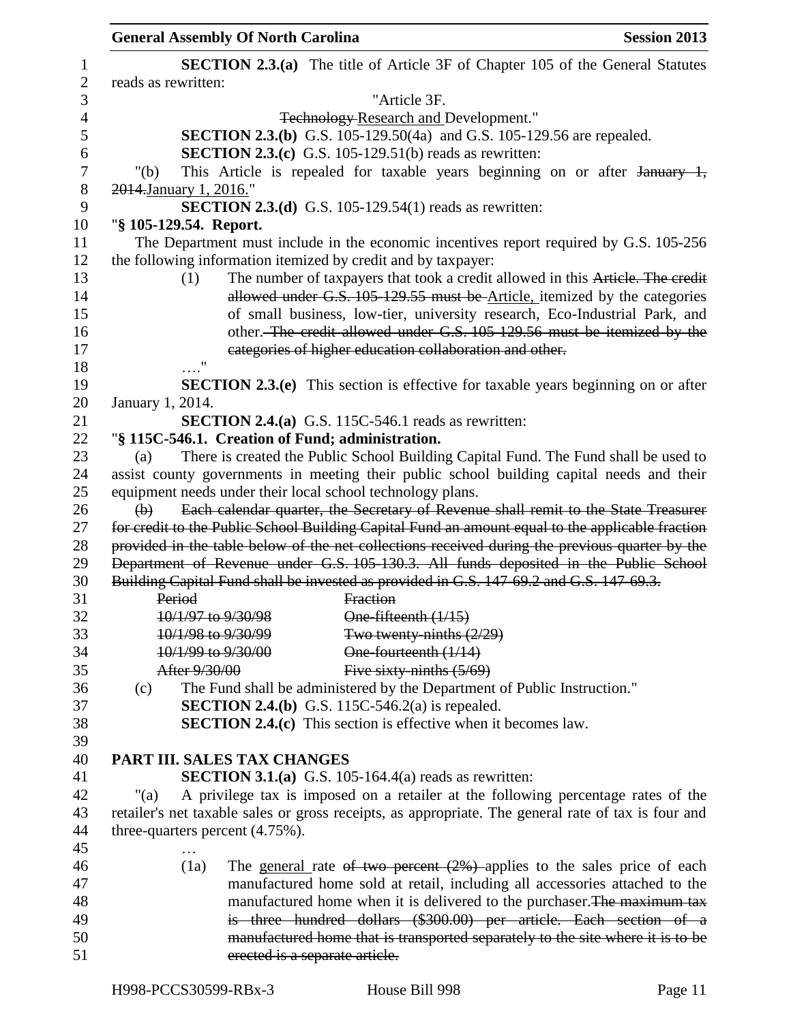|                | <b>General Assembly Of North Carolina</b><br><b>Session 2013</b>                                                 |  |
|----------------|------------------------------------------------------------------------------------------------------------------|--|
| $\mathbf{1}$   | <b>SECTION 2.3.(a)</b> The title of Article 3F of Chapter 105 of the General Statutes                            |  |
| $\overline{2}$ | reads as rewritten:                                                                                              |  |
| 3              | "Article 3F.                                                                                                     |  |
| $\overline{4}$ | <b>Technology-Research and Development."</b>                                                                     |  |
| 5              | <b>SECTION 2.3.(b)</b> G.S. 105-129.50(4a) and G.S. 105-129.56 are repealed.                                     |  |
| 6              | <b>SECTION 2.3.(c)</b> G.S. 105-129.51(b) reads as rewritten:                                                    |  |
| 7              | This Article is repealed for taxable years beginning on or after January 1,<br>" $(b)$                           |  |
| $8\,$          | 2014. January 1, 2016."                                                                                          |  |
| 9              | <b>SECTION 2.3.(d)</b> G.S. 105-129.54(1) reads as rewritten:                                                    |  |
| 10             | "§ 105-129.54. Report.                                                                                           |  |
| 11             | The Department must include in the economic incentives report required by G.S. 105-256                           |  |
| 12             | the following information itemized by credit and by taxpayer:                                                    |  |
| 13             | The number of taxpayers that took a credit allowed in this Article. The credit<br>(1)                            |  |
| 14             | allowed under G.S. 105-129.55 must be Article, itemized by the categories                                        |  |
| 15             | of small business, low-tier, university research, Eco-Industrial Park, and                                       |  |
| 16             | other. The credit allowed under G.S. 105-129.56 must be itemized by the                                          |  |
| 17             | categories of higher education collaboration and other.                                                          |  |
| 18             |                                                                                                                  |  |
| 19             | <b>SECTION 2.3.(e)</b> This section is effective for taxable years beginning on or after                         |  |
| 20             | January 1, 2014.                                                                                                 |  |
| 21             | SECTION 2.4.(a) G.S. 115C-546.1 reads as rewritten:                                                              |  |
| 22             | "§ 115C-546.1. Creation of Fund; administration.                                                                 |  |
| 23             | There is created the Public School Building Capital Fund. The Fund shall be used to<br>(a)                       |  |
| 24             | assist county governments in meeting their public school building capital needs and their                        |  |
| 25             | equipment needs under their local school technology plans.                                                       |  |
| 26             | Each calendar quarter, the Secretary of Revenue shall remit to the State Treasurer<br>$\left(\frac{1}{2}\right)$ |  |
| 27             | for credit to the Public School Building Capital Fund an amount equal to the applicable fraction                 |  |
| 28             | provided in the table below of the net collections received during the previous quarter by the                   |  |
| 29             | Department of Revenue under G.S. 105-130.3. All funds deposited in the Public School                             |  |
| 30             | Building Capital Fund shall be invested as provided in G.S. 147 69.2 and G.S. 147 69.3.                          |  |
| 31             | Fraction<br>Period                                                                                               |  |
| 32             | 10/1/97 to 9/30/98<br>One-fifteenth (1/15)                                                                       |  |
| 33             | 10/1/98 to 9/30/99<br>Two twenty-ninths $(2/29)$                                                                 |  |
| 34             | 10/1/99 to 9/30/00<br>One-fourteenth (1/14)                                                                      |  |
| 35             | Five sixty-ninths $(5/69)$<br>After 9/30/00                                                                      |  |
| 36             | The Fund shall be administered by the Department of Public Instruction."<br>(c)                                  |  |
| 37             | <b>SECTION 2.4.(b)</b> G.S. 115C-546.2(a) is repealed.                                                           |  |
| 38             | <b>SECTION 2.4.(c)</b> This section is effective when it becomes law.                                            |  |
| 39             |                                                                                                                  |  |
| 40             | PART III. SALES TAX CHANGES                                                                                      |  |
| 41             | <b>SECTION 3.1.(a)</b> G.S. 105-164.4(a) reads as rewritten:                                                     |  |
| 42             | A privilege tax is imposed on a retailer at the following percentage rates of the<br>"(a)                        |  |
| 43             | retailer's net taxable sales or gross receipts, as appropriate. The general rate of tax is four and              |  |
| 44             | three-quarters percent (4.75%).                                                                                  |  |
| 45             |                                                                                                                  |  |
| 46             | The general rate of two percent $(2%)$ applies to the sales price of each<br>(1a)                                |  |
| 47             | manufactured home sold at retail, including all accessories attached to the                                      |  |
| 48             | manufactured home when it is delivered to the purchaser. The maximum tax                                         |  |
| 49             | is three hundred dollars (\$300.00) per article. Each section of a                                               |  |
| 50             | manufactured home that is transported separately to the site where it is to be                                   |  |
| 51             | erected is a separate article.                                                                                   |  |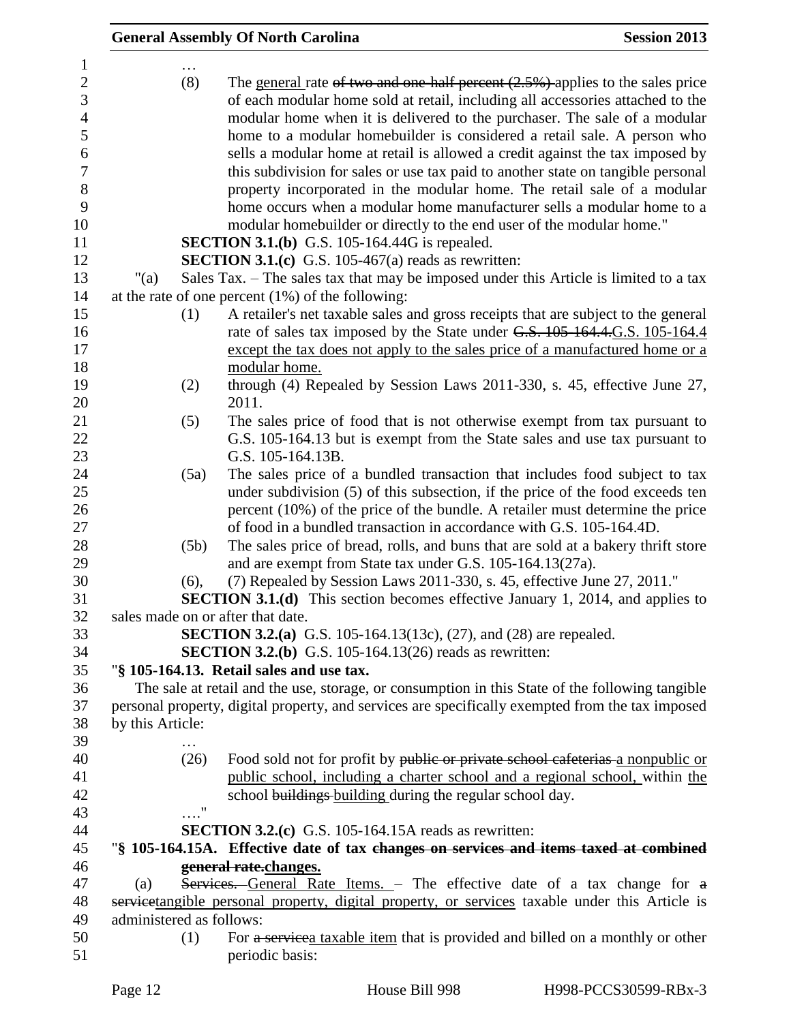|                                                                                                                      |                          | <b>General Assembly Of North Carolina</b>                                                                                                                                                                                                                                                                                                                                                                                                                                                                                                                                                                                                                                                                                                                                             | <b>Session 2013</b> |  |
|----------------------------------------------------------------------------------------------------------------------|--------------------------|---------------------------------------------------------------------------------------------------------------------------------------------------------------------------------------------------------------------------------------------------------------------------------------------------------------------------------------------------------------------------------------------------------------------------------------------------------------------------------------------------------------------------------------------------------------------------------------------------------------------------------------------------------------------------------------------------------------------------------------------------------------------------------------|---------------------|--|
| $\mathbf{1}$<br>$\mathbf{2}$<br>3<br>$\overline{4}$<br>5<br>$\boldsymbol{6}$<br>$\overline{7}$<br>8<br>9<br>10<br>11 | (8)                      | The general rate of two and one-half percent $(2.5%)$ applies to the sales price<br>of each modular home sold at retail, including all accessories attached to the<br>modular home when it is delivered to the purchaser. The sale of a modular<br>home to a modular homebuilder is considered a retail sale. A person who<br>sells a modular home at retail is allowed a credit against the tax imposed by<br>this subdivision for sales or use tax paid to another state on tangible personal<br>property incorporated in the modular home. The retail sale of a modular<br>home occurs when a modular home manufacturer sells a modular home to a<br>modular homebuilder or directly to the end user of the modular home."<br><b>SECTION 3.1.(b)</b> G.S. 105-164.44G is repealed. |                     |  |
| 12                                                                                                                   |                          | <b>SECTION 3.1.(c)</b> G.S. 105-467(a) reads as rewritten:                                                                                                                                                                                                                                                                                                                                                                                                                                                                                                                                                                                                                                                                                                                            |                     |  |
| 13                                                                                                                   | " $(a)$                  | Sales Tax. – The sales tax that may be imposed under this Article is limited to a tax                                                                                                                                                                                                                                                                                                                                                                                                                                                                                                                                                                                                                                                                                                 |                     |  |
| 14                                                                                                                   |                          | at the rate of one percent $(1%)$ of the following:                                                                                                                                                                                                                                                                                                                                                                                                                                                                                                                                                                                                                                                                                                                                   |                     |  |
| 15<br>16<br>17<br>18                                                                                                 | (1)                      | A retailer's net taxable sales and gross receipts that are subject to the general<br>rate of sales tax imposed by the State under G.S. 105-164.4. G.S. 105-164.4<br>except the tax does not apply to the sales price of a manufactured home or a<br>modular home.                                                                                                                                                                                                                                                                                                                                                                                                                                                                                                                     |                     |  |
| 19<br>20                                                                                                             | (2)                      | through (4) Repealed by Session Laws 2011-330, s. 45, effective June 27,<br>2011.                                                                                                                                                                                                                                                                                                                                                                                                                                                                                                                                                                                                                                                                                                     |                     |  |
| 21<br>22<br>23                                                                                                       | (5)                      | The sales price of food that is not otherwise exempt from tax pursuant to<br>G.S. 105-164.13 but is exempt from the State sales and use tax pursuant to<br>G.S. 105-164.13B.                                                                                                                                                                                                                                                                                                                                                                                                                                                                                                                                                                                                          |                     |  |
| 24<br>25<br>26<br>27                                                                                                 | (5a)                     | The sales price of a bundled transaction that includes food subject to tax<br>under subdivision (5) of this subsection, if the price of the food exceeds ten<br>percent $(10\%)$ of the price of the bundle. A retailer must determine the price<br>of food in a bundled transaction in accordance with G.S. 105-164.4D.                                                                                                                                                                                                                                                                                                                                                                                                                                                              |                     |  |
| 28<br>29                                                                                                             | (5b)                     | The sales price of bread, rolls, and buns that are sold at a bakery thrift store<br>and are exempt from State tax under G.S. 105-164.13(27a).                                                                                                                                                                                                                                                                                                                                                                                                                                                                                                                                                                                                                                         |                     |  |
| 30<br>31                                                                                                             | (6),                     | (7) Repealed by Session Laws 2011-330, s. 45, effective June 27, 2011."<br><b>SECTION 3.1.(d)</b> This section becomes effective January 1, 2014, and applies to                                                                                                                                                                                                                                                                                                                                                                                                                                                                                                                                                                                                                      |                     |  |
| 32<br>33<br>34                                                                                                       |                          | sales made on or after that date.<br><b>SECTION 3.2.(a)</b> G.S. 105-164.13(13c), (27), and (28) are repealed.<br><b>SECTION 3.2.(b)</b> G.S. 105-164.13(26) reads as rewritten:                                                                                                                                                                                                                                                                                                                                                                                                                                                                                                                                                                                                      |                     |  |
| 35                                                                                                                   |                          | "§ 105-164.13. Retail sales and use tax.                                                                                                                                                                                                                                                                                                                                                                                                                                                                                                                                                                                                                                                                                                                                              |                     |  |
| 36<br>37<br>38                                                                                                       | by this Article:         | The sale at retail and the use, storage, or consumption in this State of the following tangible<br>personal property, digital property, and services are specifically exempted from the tax imposed                                                                                                                                                                                                                                                                                                                                                                                                                                                                                                                                                                                   |                     |  |
| 39                                                                                                                   |                          |                                                                                                                                                                                                                                                                                                                                                                                                                                                                                                                                                                                                                                                                                                                                                                                       |                     |  |
| 40                                                                                                                   | (26)                     | Food sold not for profit by public or private school cafeterias a nonpublic or                                                                                                                                                                                                                                                                                                                                                                                                                                                                                                                                                                                                                                                                                                        |                     |  |
| 41<br>42                                                                                                             |                          | public school, including a charter school and a regional school, within the<br>school buildings building during the regular school day.                                                                                                                                                                                                                                                                                                                                                                                                                                                                                                                                                                                                                                               |                     |  |
| 43                                                                                                                   |                          | $\pmb{\mathsf{H}}$                                                                                                                                                                                                                                                                                                                                                                                                                                                                                                                                                                                                                                                                                                                                                                    |                     |  |
| 44<br>45                                                                                                             |                          | <b>SECTION 3.2.(c)</b> G.S. 105-164.15A reads as rewritten:<br>"§ 105-164.15A. Effective date of tax changes on services and items taxed at combined                                                                                                                                                                                                                                                                                                                                                                                                                                                                                                                                                                                                                                  |                     |  |
| 46                                                                                                                   |                          | general rate.changes.                                                                                                                                                                                                                                                                                                                                                                                                                                                                                                                                                                                                                                                                                                                                                                 |                     |  |
| 47                                                                                                                   | (a)                      | Services. General Rate Items. - The effective date of a tax change for a                                                                                                                                                                                                                                                                                                                                                                                                                                                                                                                                                                                                                                                                                                              |                     |  |
| 48                                                                                                                   |                          | servicetangible personal property, digital property, or services taxable under this Article is                                                                                                                                                                                                                                                                                                                                                                                                                                                                                                                                                                                                                                                                                        |                     |  |
| 49<br>50                                                                                                             | administered as follows: | For a servicea taxable item that is provided and billed on a monthly or other                                                                                                                                                                                                                                                                                                                                                                                                                                                                                                                                                                                                                                                                                                         |                     |  |
| 51                                                                                                                   | (1)                      | periodic basis:                                                                                                                                                                                                                                                                                                                                                                                                                                                                                                                                                                                                                                                                                                                                                                       |                     |  |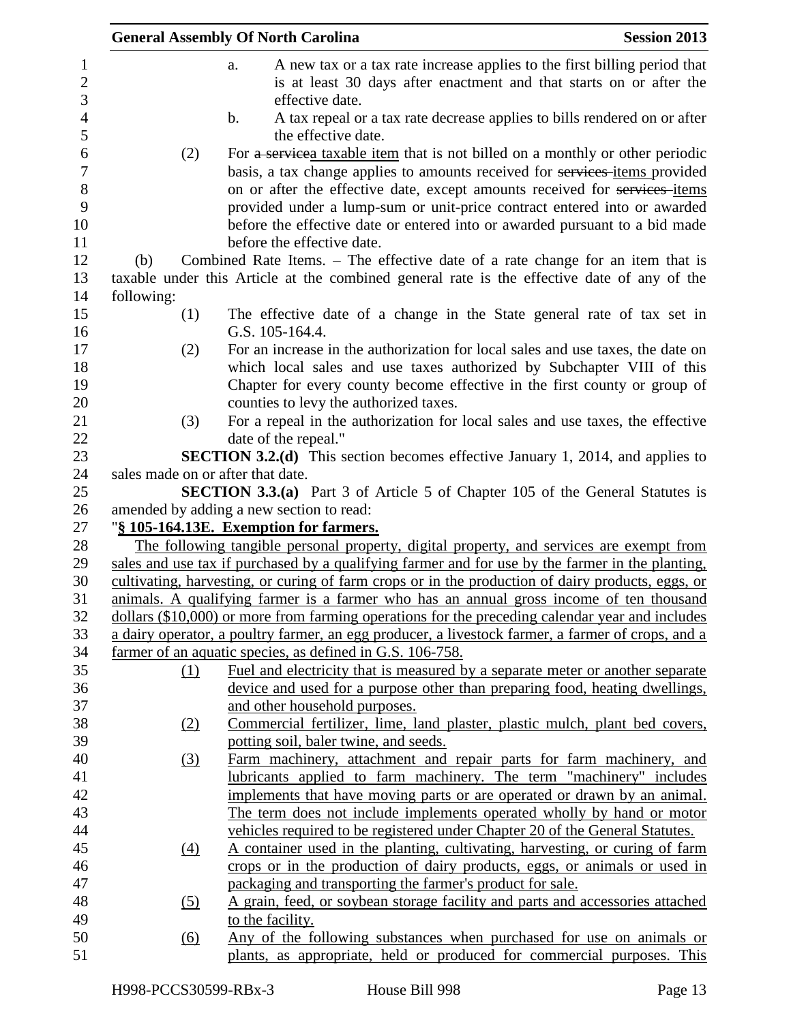|                                       |                                   | <b>General Assembly Of North Carolina</b><br><b>Session 2013</b>                                                                                                                                                                                                                |
|---------------------------------------|-----------------------------------|---------------------------------------------------------------------------------------------------------------------------------------------------------------------------------------------------------------------------------------------------------------------------------|
| 1<br>$\overline{c}$<br>$\mathfrak{Z}$ |                                   | A new tax or a tax rate increase applies to the first billing period that<br>a.<br>is at least 30 days after enactment and that starts on or after the<br>effective date.                                                                                                       |
| $\overline{4}$<br>5                   |                                   | A tax repeal or a tax rate decrease applies to bills rendered on or after<br>$\mathbf b$ .<br>the effective date.                                                                                                                                                               |
| 6                                     | (2)                               | For a servicea taxable item that is not billed on a monthly or other periodic                                                                                                                                                                                                   |
| $\overline{7}$<br>8<br>9              |                                   | basis, a tax change applies to amounts received for services-items provided<br>on or after the effective date, except amounts received for services-items<br>provided under a lump-sum or unit-price contract entered into or awarded                                           |
| 10                                    |                                   | before the effective date or entered into or awarded pursuant to a bid made                                                                                                                                                                                                     |
| 11<br>12                              |                                   | before the effective date.                                                                                                                                                                                                                                                      |
|                                       | (b)                               | Combined Rate Items. – The effective date of a rate change for an item that is                                                                                                                                                                                                  |
|                                       | following:                        | taxable under this Article at the combined general rate is the effective date of any of the                                                                                                                                                                                     |
|                                       | (1)                               | The effective date of a change in the State general rate of tax set in<br>G.S. 105-164.4.                                                                                                                                                                                       |
|                                       | (2)                               | For an increase in the authorization for local sales and use taxes, the date on<br>which local sales and use taxes authorized by Subchapter VIII of this<br>Chapter for every county become effective in the first county or group of<br>counties to levy the authorized taxes. |
|                                       | (3)                               | For a repeal in the authorization for local sales and use taxes, the effective                                                                                                                                                                                                  |
|                                       |                                   | date of the repeal."                                                                                                                                                                                                                                                            |
|                                       |                                   | <b>SECTION 3.2.(d)</b> This section becomes effective January 1, 2014, and applies to                                                                                                                                                                                           |
|                                       | sales made on or after that date. |                                                                                                                                                                                                                                                                                 |
|                                       |                                   | <b>SECTION 3.3.(a)</b> Part 3 of Article 5 of Chapter 105 of the General Statutes is                                                                                                                                                                                            |
|                                       |                                   | amended by adding a new section to read:                                                                                                                                                                                                                                        |
|                                       |                                   | "§ 105-164.13E. Exemption for farmers.                                                                                                                                                                                                                                          |
|                                       |                                   | The following tangible personal property, digital property, and services are exempt from                                                                                                                                                                                        |
|                                       |                                   | sales and use tax if purchased by a qualifying farmer and for use by the farmer in the planting.                                                                                                                                                                                |
|                                       |                                   | cultivating, harvesting, or curing of farm crops or in the production of dairy products, eggs, or                                                                                                                                                                               |
|                                       |                                   | animals. A qualifying farmer is a farmer who has an annual gross income of ten thousand                                                                                                                                                                                         |
|                                       |                                   | dollars (\$10,000) or more from farming operations for the preceding calendar year and includes                                                                                                                                                                                 |
|                                       |                                   | a dairy operator, a poultry farmer, an egg producer, a livestock farmer, a farmer of crops, and a                                                                                                                                                                               |
|                                       |                                   | farmer of an aquatic species, as defined in G.S. 106-758.                                                                                                                                                                                                                       |
|                                       | (1)                               | Fuel and electricity that is measured by a separate meter or another separate                                                                                                                                                                                                   |
|                                       |                                   | device and used for a purpose other than preparing food, heating dwellings,                                                                                                                                                                                                     |
|                                       |                                   | and other household purposes.                                                                                                                                                                                                                                                   |
|                                       | (2)                               | Commercial fertilizer, lime, land plaster, plastic mulch, plant bed covers,                                                                                                                                                                                                     |
|                                       |                                   | potting soil, baler twine, and seeds.                                                                                                                                                                                                                                           |
|                                       | (3)                               | Farm machinery, attachment and repair parts for farm machinery, and<br>lubricants applied to farm machinery. The term "machinery" includes                                                                                                                                      |
|                                       |                                   | implements that have moving parts or are operated or drawn by an animal.                                                                                                                                                                                                        |
|                                       |                                   | The term does not include implements operated wholly by hand or motor                                                                                                                                                                                                           |
|                                       |                                   | vehicles required to be registered under Chapter 20 of the General Statutes.                                                                                                                                                                                                    |
|                                       | (4)                               | A container used in the planting, cultivating, harvesting, or curing of farm                                                                                                                                                                                                    |
|                                       |                                   | crops or in the production of dairy products, eggs, or animals or used in                                                                                                                                                                                                       |
|                                       |                                   | packaging and transporting the farmer's product for sale.                                                                                                                                                                                                                       |
|                                       | (5)                               | A grain, feed, or soybean storage facility and parts and accessories attached                                                                                                                                                                                                   |
|                                       |                                   | to the facility.                                                                                                                                                                                                                                                                |
|                                       | <u>(6)</u>                        | Any of the following substances when purchased for use on animals or                                                                                                                                                                                                            |
|                                       |                                   | plants, as appropriate, held or produced for commercial purposes. This                                                                                                                                                                                                          |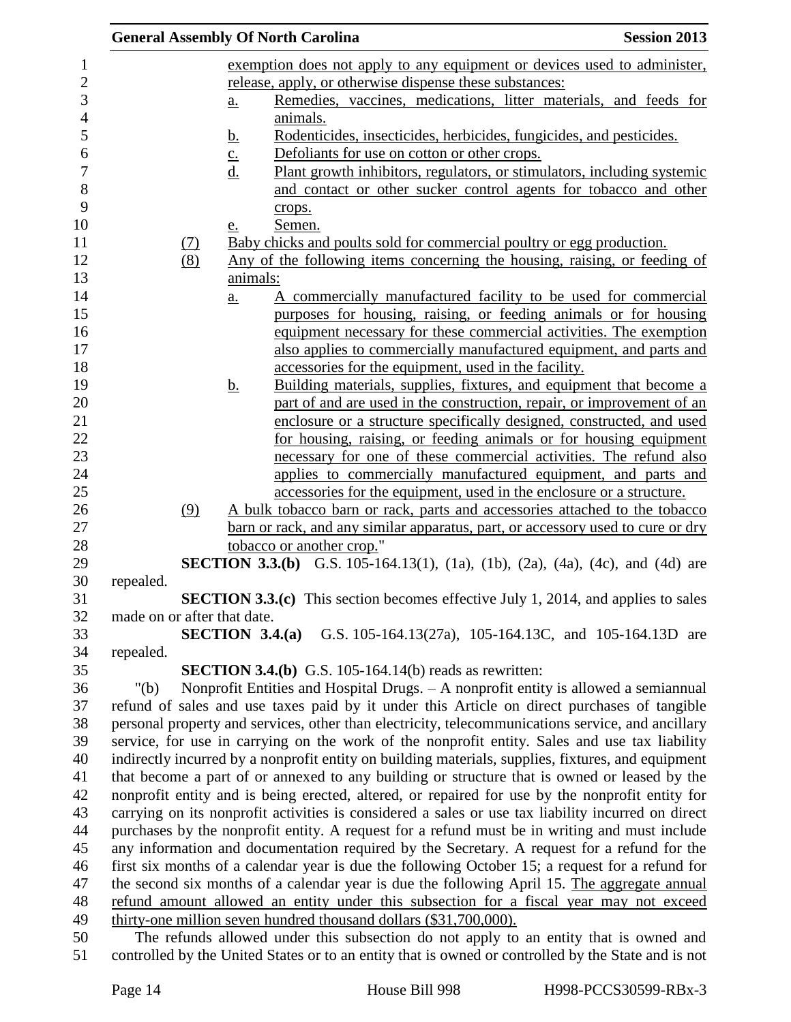|                             |          |                   | <b>General Assembly Of North Carolina</b>                                                                                                                  | <b>Session 2013</b> |
|-----------------------------|----------|-------------------|------------------------------------------------------------------------------------------------------------------------------------------------------------|---------------------|
|                             |          |                   | exemption does not apply to any equipment or devices used to administer,                                                                                   |                     |
|                             |          |                   | release, apply, or otherwise dispense these substances:                                                                                                    |                     |
|                             |          | a.                | Remedies, vaccines, medications, litter materials, and feeds for                                                                                           |                     |
|                             |          |                   | animals.                                                                                                                                                   |                     |
|                             |          | <u>b.</u>         | Rodenticides, insecticides, herbicides, fungicides, and pesticides.                                                                                        |                     |
|                             |          |                   | Defoliants for use on cotton or other crops.                                                                                                               |                     |
|                             |          | $\frac{c}{d}$     | Plant growth inhibitors, regulators, or stimulators, including systemic                                                                                    |                     |
|                             |          |                   | and contact or other sucker control agents for tobacco and other                                                                                           |                     |
|                             |          |                   | crops.                                                                                                                                                     |                     |
|                             |          | <u>e.</u>         | Semen.                                                                                                                                                     |                     |
|                             | $\Omega$ |                   | Baby chicks and poults sold for commercial poultry or egg production.                                                                                      |                     |
|                             | (8)      |                   | Any of the following items concerning the housing, raising, or feeding of                                                                                  |                     |
|                             |          | animals:          |                                                                                                                                                            |                     |
|                             |          | a.                | A commercially manufactured facility to be used for commercial                                                                                             |                     |
|                             |          |                   | purposes for housing, raising, or feeding animals or for housing                                                                                           |                     |
|                             |          |                   | equipment necessary for these commercial activities. The exemption                                                                                         |                     |
|                             |          |                   | also applies to commercially manufactured equipment, and parts and                                                                                         |                     |
|                             |          |                   | accessories for the equipment, used in the facility.                                                                                                       |                     |
|                             |          | <u>b.</u>         | Building materials, supplies, fixtures, and equipment that become a                                                                                        |                     |
|                             |          |                   | part of and are used in the construction, repair, or improvement of an                                                                                     |                     |
|                             |          |                   | enclosure or a structure specifically designed, constructed, and used                                                                                      |                     |
|                             |          |                   | for housing, raising, or feeding animals or for housing equipment                                                                                          |                     |
|                             |          |                   | necessary for one of these commercial activities. The refund also                                                                                          |                     |
|                             |          |                   | applies to commercially manufactured equipment, and parts and                                                                                              |                     |
|                             |          |                   | accessories for the equipment, used in the enclosure or a structure.                                                                                       |                     |
|                             | (9)      |                   | A bulk tobacco barn or rack, parts and accessories attached to the tobacco                                                                                 |                     |
|                             |          |                   | barn or rack, and any similar apparatus, part, or accessory used to cure or dry                                                                            |                     |
|                             |          |                   | tobacco or another crop."                                                                                                                                  |                     |
|                             |          |                   | <b>SECTION 3.3.(b)</b> G.S. 105-164.13(1), (1a), (1b), (2a), (4a), (4c), and (4d) are                                                                      |                     |
| repealed.                   |          |                   |                                                                                                                                                            |                     |
|                             |          |                   | <b>SECTION 3.3.(c)</b> This section becomes effective July 1, 2014, and applies to sales                                                                   |                     |
| made on or after that date. |          |                   |                                                                                                                                                            |                     |
|                             |          | SECTION $3.4.(a)$ | G.S. 105-164.13(27a), 105-164.13C, and 105-164.13D are                                                                                                     |                     |
| repealed.                   |          |                   |                                                                                                                                                            |                     |
|                             |          |                   | <b>SECTION 3.4.(b)</b> G.S. 105-164.14(b) reads as rewritten:                                                                                              |                     |
| " $(b)$                     |          |                   | Nonprofit Entities and Hospital Drugs. - A nonprofit entity is allowed a semiannual                                                                        |                     |
|                             |          |                   | refund of sales and use taxes paid by it under this Article on direct purchases of tangible                                                                |                     |
|                             |          |                   | personal property and services, other than electricity, telecommunications service, and ancillary                                                          |                     |
|                             |          |                   | service, for use in carrying on the work of the nonprofit entity. Sales and use tax liability                                                              |                     |
|                             |          |                   | indirectly incurred by a nonprofit entity on building materials, supplies, fixtures, and equipment                                                         |                     |
|                             |          |                   | that become a part of or annexed to any building or structure that is owned or leased by the                                                               |                     |
|                             |          |                   | nonprofit entity and is being erected, altered, or repaired for use by the nonprofit entity for                                                            |                     |
|                             |          |                   | carrying on its nonprofit activities is considered a sales or use tax liability incurred on direct                                                         |                     |
|                             |          |                   | purchases by the nonprofit entity. A request for a refund must be in writing and must include                                                              |                     |
|                             |          |                   | any information and documentation required by the Secretary. A request for a refund for the                                                                |                     |
|                             |          |                   | first six months of a calendar year is due the following October 15; a request for a refund for                                                            |                     |
|                             |          |                   | the second six months of a calendar year is due the following April 15. The aggregate annual                                                               |                     |
|                             |          |                   | refund amount allowed an entity under this subsection for a fiscal year may not exceed                                                                     |                     |
|                             |          |                   | thirty-one million seven hundred thousand dollars (\$31,700,000).<br>The refunds allowed under this subsection do not apply to an entity that is owned and |                     |
|                             |          |                   | controlled by the United States or to an entity that is owned or controlled by the State and is not                                                        |                     |
|                             |          |                   |                                                                                                                                                            |                     |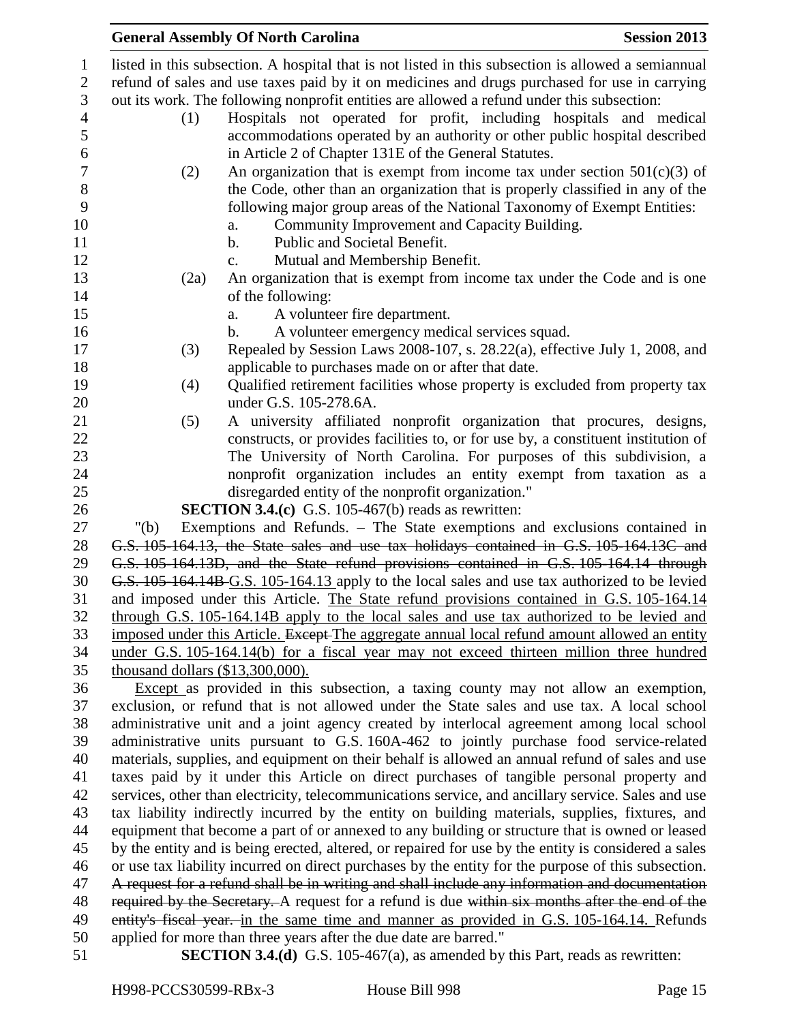|                                     | <b>General Assembly Of North Carolina</b>                                                                                                                 | <b>Session 2013</b> |
|-------------------------------------|-----------------------------------------------------------------------------------------------------------------------------------------------------------|---------------------|
|                                     | listed in this subsection. A hospital that is not listed in this subsection is allowed a semiannual                                                       |                     |
|                                     | refund of sales and use taxes paid by it on medicines and drugs purchased for use in carrying                                                             |                     |
|                                     | out its work. The following nonprofit entities are allowed a refund under this subsection:                                                                |                     |
| (1)                                 | Hospitals not operated for profit, including hospitals and medical                                                                                        |                     |
|                                     | accommodations operated by an authority or other public hospital described                                                                                |                     |
|                                     | in Article 2 of Chapter 131E of the General Statutes.                                                                                                     |                     |
| (2)                                 | An organization that is exempt from income tax under section $501(c)(3)$ of                                                                               |                     |
|                                     | the Code, other than an organization that is properly classified in any of the                                                                            |                     |
|                                     |                                                                                                                                                           |                     |
|                                     | following major group areas of the National Taxonomy of Exempt Entities:                                                                                  |                     |
|                                     | Community Improvement and Capacity Building.<br>a.                                                                                                        |                     |
|                                     | $\mathbf{b}$ .<br>Public and Societal Benefit.                                                                                                            |                     |
|                                     | Mutual and Membership Benefit.<br>$\mathbf{c}$ .                                                                                                          |                     |
| (2a)                                | An organization that is exempt from income tax under the Code and is one                                                                                  |                     |
|                                     | of the following:                                                                                                                                         |                     |
|                                     | A volunteer fire department.<br>a.                                                                                                                        |                     |
|                                     | A volunteer emergency medical services squad.<br>b.                                                                                                       |                     |
| (3)                                 | Repealed by Session Laws 2008-107, s. 28.22(a), effective July 1, 2008, and                                                                               |                     |
|                                     | applicable to purchases made on or after that date.                                                                                                       |                     |
| (4)                                 | Qualified retirement facilities whose property is excluded from property tax                                                                              |                     |
|                                     | under G.S. 105-278.6A.                                                                                                                                    |                     |
| (5)                                 | A university affiliated nonprofit organization that procures, designs,                                                                                    |                     |
|                                     | constructs, or provides facilities to, or for use by, a constituent institution of                                                                        |                     |
|                                     | The University of North Carolina. For purposes of this subdivision, a                                                                                     |                     |
|                                     | nonprofit organization includes an entity exempt from taxation as a                                                                                       |                     |
|                                     | disregarded entity of the nonprofit organization."                                                                                                        |                     |
|                                     | <b>SECTION 3.4.(c)</b> G.S. 105-467(b) reads as rewritten:                                                                                                |                     |
| " $(b)$                             | Exemptions and Refunds. - The State exemptions and exclusions contained in                                                                                |                     |
|                                     | G.S. 105-164.13, the State sales and use tax holidays contained in G.S. 105-164.13C and                                                                   |                     |
|                                     | G.S. 105-164.13D, and the State refund provisions contained in G.S. 105-164.14 through                                                                    |                     |
|                                     | G.S. 105-164.14B-G.S. 105-164.13 apply to the local sales and use tax authorized to be levied                                                             |                     |
|                                     | and imposed under this Article. The State refund provisions contained in G.S. 105-164.14                                                                  |                     |
|                                     | through G.S. 105-164.14B apply to the local sales and use tax authorized to be levied and                                                                 |                     |
|                                     | imposed under this Article. Except The aggregate annual local refund amount allowed an entity                                                             |                     |
|                                     | under G.S. 105-164.14(b) for a fiscal year may not exceed thirteen million three hundred                                                                  |                     |
| thousand dollars $(\$13,300,000)$ . |                                                                                                                                                           |                     |
|                                     | Except as provided in this subsection, a taxing county may not allow an exemption,                                                                        |                     |
|                                     | exclusion, or refund that is not allowed under the State sales and use tax. A local school                                                                |                     |
|                                     | administrative unit and a joint agency created by interlocal agreement among local school                                                                 |                     |
|                                     | administrative units pursuant to G.S. 160A-462 to jointly purchase food service-related                                                                   |                     |
|                                     | materials, supplies, and equipment on their behalf is allowed an annual refund of sales and use                                                           |                     |
|                                     | taxes paid by it under this Article on direct purchases of tangible personal property and                                                                 |                     |
|                                     | services, other than electricity, telecommunications service, and ancillary service. Sales and use                                                        |                     |
|                                     | tax liability indirectly incurred by the entity on building materials, supplies, fixtures, and                                                            |                     |
|                                     | equipment that become a part of or annexed to any building or structure that is owned or leased                                                           |                     |
|                                     | by the entity and is being erected, altered, or repaired for use by the entity is considered a sales                                                      |                     |
|                                     | or use tax liability incurred on direct purchases by the entity for the purpose of this subsection.                                                       |                     |
|                                     | A request for a refund shall be in writing and shall include any information and documentation                                                            |                     |
|                                     | required by the Secretary. A request for a refund is due within six months after the end of the                                                           |                     |
|                                     | entity's fiscal year. in the same time and manner as provided in G.S. 105-164.14. Refunds                                                                 |                     |
|                                     | applied for more than three years after the due date are barred."<br><b>SECTION 3.4.(d)</b> G.S. 105-467(a), as amended by this Part, reads as rewritten: |                     |
|                                     |                                                                                                                                                           |                     |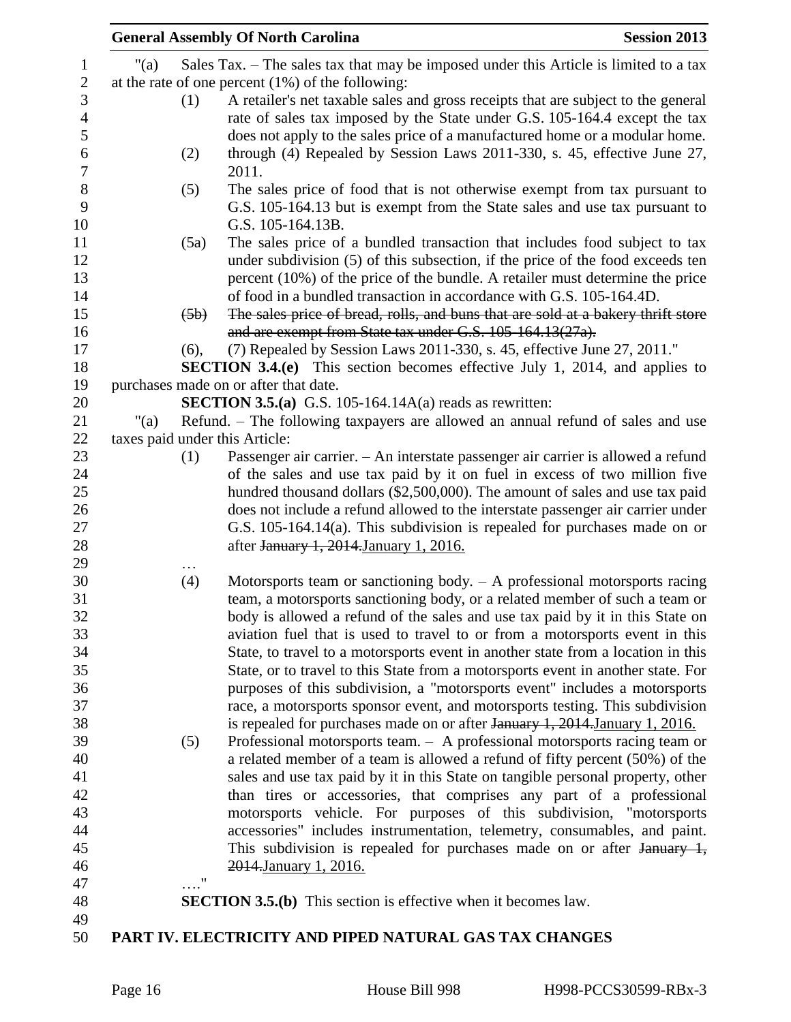|         |      | <b>General Assembly Of North Carolina</b><br><b>Session 2013</b>                                                                                                             |
|---------|------|------------------------------------------------------------------------------------------------------------------------------------------------------------------------------|
| " $(a)$ |      | Sales Tax. – The sales tax that may be imposed under this Article is limited to a tax                                                                                        |
|         |      | at the rate of one percent $(1%)$ of the following:                                                                                                                          |
|         | (1)  | A retailer's net taxable sales and gross receipts that are subject to the general                                                                                            |
|         |      | rate of sales tax imposed by the State under G.S. 105-164.4 except the tax                                                                                                   |
|         |      | does not apply to the sales price of a manufactured home or a modular home.                                                                                                  |
|         | (2)  | through (4) Repealed by Session Laws 2011-330, s. 45, effective June 27,                                                                                                     |
|         |      | 2011.                                                                                                                                                                        |
|         | (5)  | The sales price of food that is not otherwise exempt from tax pursuant to<br>G.S. 105-164.13 but is exempt from the State sales and use tax pursuant to<br>G.S. 105-164.13B. |
|         | (5a) | The sales price of a bundled transaction that includes food subject to tax                                                                                                   |
|         |      | under subdivision (5) of this subsection, if the price of the food exceeds ten                                                                                               |
|         |      | percent (10%) of the price of the bundle. A retailer must determine the price                                                                                                |
|         |      | of food in a bundled transaction in accordance with G.S. 105-164.4D.                                                                                                         |
|         | (5b) | The sales price of bread, rolls, and buns that are sold at a bakery thrift store                                                                                             |
|         |      | and are exempt from State tax under G.S. 105-164.13(27a).                                                                                                                    |
|         |      | (7) Repealed by Session Laws 2011-330, s. 45, effective June 27, 2011."                                                                                                      |
|         | (6), | <b>SECTION 3.4.(e)</b> This section becomes effective July 1, 2014, and applies to                                                                                           |
|         |      | purchases made on or after that date.                                                                                                                                        |
|         |      | <b>SECTION 3.5.(a)</b> G.S. 105-164.14A(a) reads as rewritten:                                                                                                               |
| "(a)    |      | Refund. – The following taxpayers are allowed an annual refund of sales and use                                                                                              |
|         |      | taxes paid under this Article:                                                                                                                                               |
|         | (1)  | Passenger air carrier. - An interstate passenger air carrier is allowed a refund                                                                                             |
|         |      | of the sales and use tax paid by it on fuel in excess of two million five                                                                                                    |
|         |      | hundred thousand dollars (\$2,500,000). The amount of sales and use tax paid                                                                                                 |
|         |      | does not include a refund allowed to the interstate passenger air carrier under                                                                                              |
|         |      | G.S. 105-164.14(a). This subdivision is repealed for purchases made on or                                                                                                    |
|         |      | after January 1, 2014. January 1, 2016.                                                                                                                                      |
|         |      |                                                                                                                                                                              |
|         | (4)  | Motorsports team or sanctioning body. $-$ A professional motorsports racing                                                                                                  |
|         |      | team, a motorsports sanctioning body, or a related member of such a team or                                                                                                  |
|         |      | body is allowed a refund of the sales and use tax paid by it in this State on                                                                                                |
|         |      | aviation fuel that is used to travel to or from a motorsports event in this                                                                                                  |
|         |      | State, to travel to a motorsports event in another state from a location in this                                                                                             |
|         |      | State, or to travel to this State from a motorsports event in another state. For                                                                                             |
|         |      | purposes of this subdivision, a "motorsports event" includes a motorsports                                                                                                   |
|         |      | race, a motorsports sponsor event, and motorsports testing. This subdivision                                                                                                 |
|         |      | is repealed for purchases made on or after January 1, 2014. January 1, 2016.                                                                                                 |
|         | (5)  | Professional motorsports team. $-$ A professional motorsports racing team or                                                                                                 |
|         |      | a related member of a team is allowed a refund of fifty percent (50%) of the                                                                                                 |
|         |      | sales and use tax paid by it in this State on tangible personal property, other                                                                                              |
|         |      | than tires or accessories, that comprises any part of a professional                                                                                                         |
|         |      | motorsports vehicle. For purposes of this subdivision, "motorsports                                                                                                          |
|         |      | accessories" includes instrumentation, telemetry, consumables, and paint.                                                                                                    |
|         |      | This subdivision is repealed for purchases made on or after $J$ <sub>anuary</sub> $1$ ,                                                                                      |
|         |      | 2014. January 1, 2016.                                                                                                                                                       |
|         | 11   |                                                                                                                                                                              |
|         |      | <b>SECTION 3.5.(b)</b> This section is effective when it becomes law.                                                                                                        |
|         |      | PART IV. ELECTRICITY AND PIPED NATURAL GAS TAX CHANGES                                                                                                                       |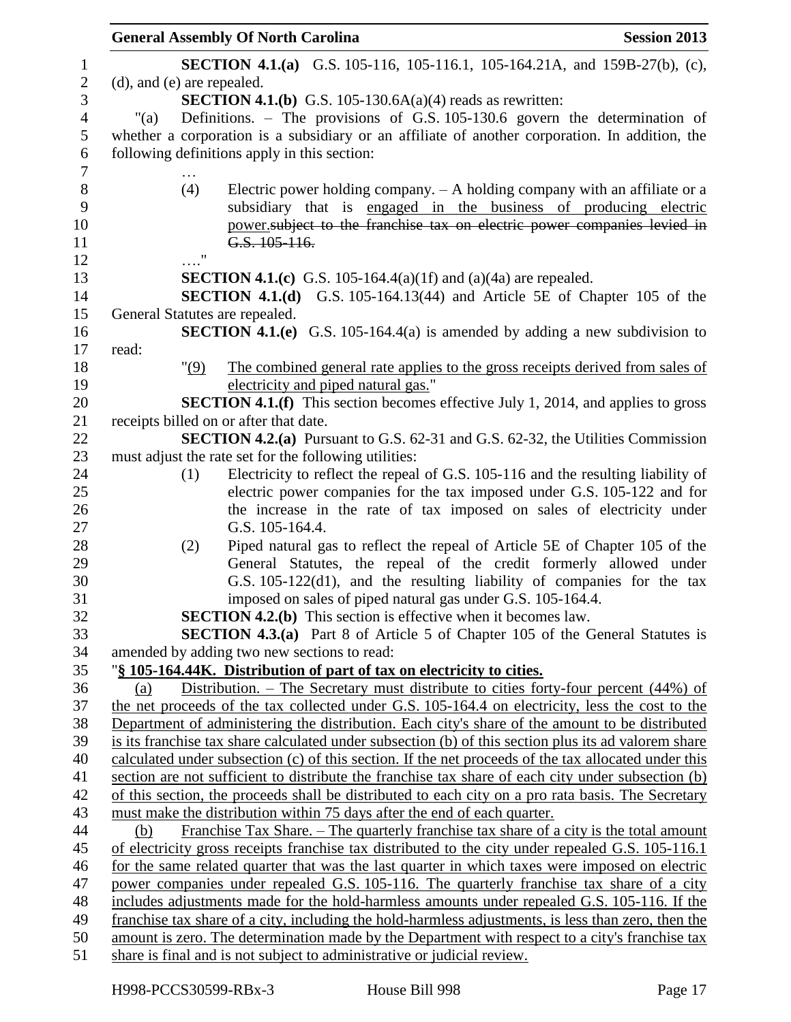|                                | <b>General Assembly Of North Carolina</b>                                                                                                                                                              | <b>Session 2013</b> |
|--------------------------------|--------------------------------------------------------------------------------------------------------------------------------------------------------------------------------------------------------|---------------------|
|                                | <b>SECTION 4.1.(a)</b> G.S. 105-116, 105-116.1, 105-164.21A, and 159B-27(b), (c),                                                                                                                      |                     |
| (d), and (e) are repealed.     |                                                                                                                                                                                                        |                     |
|                                | <b>SECTION 4.1.(b)</b> G.S. 105-130.6A(a)(4) reads as rewritten:                                                                                                                                       |                     |
| $"$ (a)                        | Definitions. - The provisions of G.S. 105-130.6 govern the determination of                                                                                                                            |                     |
|                                | whether a corporation is a subsidiary or an affiliate of another corporation. In addition, the                                                                                                         |                     |
|                                | following definitions apply in this section:                                                                                                                                                           |                     |
|                                |                                                                                                                                                                                                        |                     |
| (4)                            | Electric power holding company. $-$ A holding company with an affiliate or a                                                                                                                           |                     |
|                                | subsidiary that is engaged in the business of producing electric                                                                                                                                       |                     |
|                                | power subject to the franchise tax on electric power companies levied in                                                                                                                               |                     |
|                                | G.S. $105 - 116$ .                                                                                                                                                                                     |                     |
| $\ldots$ "                     |                                                                                                                                                                                                        |                     |
|                                | <b>SECTION 4.1.(c)</b> G.S. 105-164.4(a)(1f) and (a)(4a) are repealed.                                                                                                                                 |                     |
|                                | <b>SECTION 4.1.(d)</b> G.S. 105-164.13(44) and Article 5E of Chapter 105 of the                                                                                                                        |                     |
| General Statutes are repealed. |                                                                                                                                                                                                        |                     |
|                                | <b>SECTION 4.1.(e)</b> G.S. 105-164.4(a) is amended by adding a new subdivision to                                                                                                                     |                     |
| read:                          |                                                                                                                                                                                                        |                     |
| "(9)                           | The combined general rate applies to the gross receipts derived from sales of                                                                                                                          |                     |
|                                | electricity and piped natural gas."                                                                                                                                                                    |                     |
|                                | <b>SECTION 4.1.(f)</b> This section becomes effective July 1, 2014, and applies to gross                                                                                                               |                     |
|                                | receipts billed on or after that date.                                                                                                                                                                 |                     |
|                                | <b>SECTION 4.2.(a)</b> Pursuant to G.S. 62-31 and G.S. 62-32, the Utilities Commission<br>must adjust the rate set for the following utilities:                                                        |                     |
| (1)                            | Electricity to reflect the repeal of G.S. 105-116 and the resulting liability of                                                                                                                       |                     |
|                                | electric power companies for the tax imposed under G.S. 105-122 and for                                                                                                                                |                     |
|                                | the increase in the rate of tax imposed on sales of electricity under                                                                                                                                  |                     |
|                                | G.S. 105-164.4.                                                                                                                                                                                        |                     |
| (2)                            | Piped natural gas to reflect the repeal of Article 5E of Chapter 105 of the                                                                                                                            |                     |
|                                | General Statutes, the repeal of the credit formerly allowed under                                                                                                                                      |                     |
|                                | G.S. 105-122(d1), and the resulting liability of companies for the tax                                                                                                                                 |                     |
|                                | imposed on sales of piped natural gas under G.S. 105-164.4.                                                                                                                                            |                     |
|                                | <b>SECTION 4.2.(b)</b> This section is effective when it becomes law.                                                                                                                                  |                     |
|                                | <b>SECTION 4.3.(a)</b> Part 8 of Article 5 of Chapter 105 of the General Statutes is                                                                                                                   |                     |
|                                | amended by adding two new sections to read:                                                                                                                                                            |                     |
|                                | "§ 105-164.44K. Distribution of part of tax on electricity to cities.                                                                                                                                  |                     |
| (a)                            | Distribution. – The Secretary must distribute to cities forty-four percent (44%) of                                                                                                                    |                     |
|                                | the net proceeds of the tax collected under G.S. 105-164.4 on electricity, less the cost to the                                                                                                        |                     |
|                                | Department of administering the distribution. Each city's share of the amount to be distributed                                                                                                        |                     |
|                                | is its franchise tax share calculated under subsection (b) of this section plus its ad valorem share                                                                                                   |                     |
|                                | calculated under subsection (c) of this section. If the net proceeds of the tax allocated under this                                                                                                   |                     |
|                                | section are not sufficient to distribute the franchise tax share of each city under subsection (b)                                                                                                     |                     |
|                                | of this section, the proceeds shall be distributed to each city on a pro rata basis. The Secretary                                                                                                     |                     |
|                                | must make the distribution within 75 days after the end of each quarter.                                                                                                                               |                     |
| (b)                            | <u>Franchise Tax Share. – The quarterly franchise tax share of a city is the total amount</u>                                                                                                          |                     |
|                                | of electricity gross receipts franchise tax distributed to the city under repealed G.S. 105-116.1                                                                                                      |                     |
|                                | for the same related quarter that was the last quarter in which taxes were imposed on electric                                                                                                         |                     |
|                                | power companies under repealed G.S. 105-116. The quarterly franchise tax share of a city                                                                                                               |                     |
|                                | includes adjustments made for the hold-harmless amounts under repealed G.S. 105-116. If the                                                                                                            |                     |
|                                | franchise tax share of a city, including the hold-harmless adjustments, is less than zero, then the<br>amount is zero. The determination made by the Department with respect to a city's franchise tax |                     |
|                                |                                                                                                                                                                                                        |                     |
|                                | share is final and is not subject to administrative or judicial review.                                                                                                                                |                     |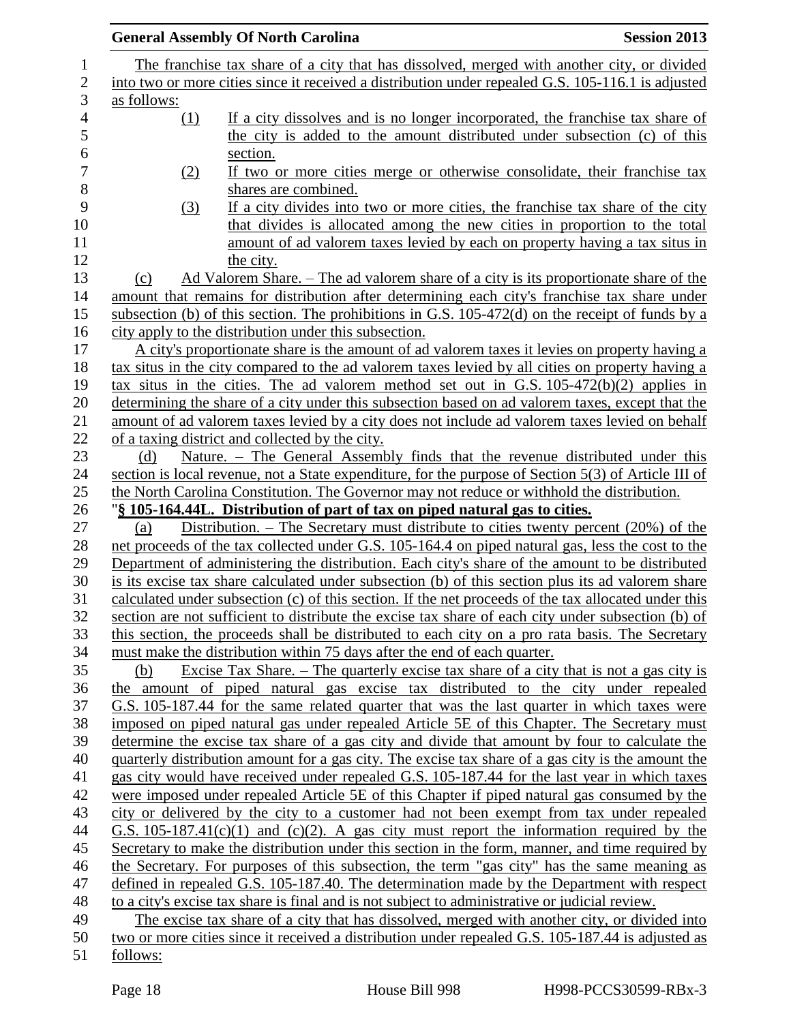|                | <b>Session 2013</b><br><b>General Assembly Of North Carolina</b>                                                                                                                                           |
|----------------|------------------------------------------------------------------------------------------------------------------------------------------------------------------------------------------------------------|
| $\mathbf{1}$   | The franchise tax share of a city that has dissolved, merged with another city, or divided                                                                                                                 |
| $\overline{c}$ | into two or more cities since it received a distribution under repealed G.S. 105-116.1 is adjusted                                                                                                         |
| 3              | as follows:                                                                                                                                                                                                |
| $\overline{4}$ | If a city dissolves and is no longer incorporated, the franchise tax share of<br>(1)                                                                                                                       |
|                | the city is added to the amount distributed under subsection (c) of this                                                                                                                                   |
|                | section.                                                                                                                                                                                                   |
|                | If two or more cities merge or otherwise consolidate, their franchise tax<br>(2)                                                                                                                           |
|                | shares are combined.                                                                                                                                                                                       |
|                | If a city divides into two or more cities, the franchise tax share of the city<br><u>(3)</u>                                                                                                               |
|                | that divides is allocated among the new cities in proportion to the total                                                                                                                                  |
|                | amount of ad valorem taxes levied by each on property having a tax situs in                                                                                                                                |
|                | the city.                                                                                                                                                                                                  |
|                | Ad Valorem Share. – The ad valorem share of a city is its proportionate share of the<br>(c)                                                                                                                |
|                | amount that remains for distribution after determining each city's franchise tax share under                                                                                                               |
|                | subsection (b) of this section. The prohibitions in G.S. $105-472(d)$ on the receipt of funds by a                                                                                                         |
|                | city apply to the distribution under this subsection.                                                                                                                                                      |
|                | A city's proportionate share is the amount of ad valorem taxes it levies on property having a                                                                                                              |
|                | tax situs in the city compared to the ad valorem taxes levied by all cities on property having a                                                                                                           |
|                | tax situs in the cities. The ad valorem method set out in G.S. $105-472(b)(2)$ applies in                                                                                                                  |
|                | determining the share of a city under this subsection based on ad valorem taxes, except that the                                                                                                           |
|                | amount of ad valorem taxes levied by a city does not include ad valorem taxes levied on behalf                                                                                                             |
|                | of a taxing district and collected by the city.                                                                                                                                                            |
|                | Nature. – The General Assembly finds that the revenue distributed under this<br>(d)                                                                                                                        |
|                | section is local revenue, not a State expenditure, for the purpose of Section 5(3) of Article III of                                                                                                       |
|                | the North Carolina Constitution. The Governor may not reduce or withhold the distribution.                                                                                                                 |
|                | "\\$ 105-164.44L. Distribution of part of tax on piped natural gas to cities.                                                                                                                              |
|                | Distribution. – The Secretary must distribute to cities twenty percent $(20\%)$ of the<br>(a)                                                                                                              |
|                | net proceeds of the tax collected under G.S. 105-164.4 on piped natural gas, less the cost to the                                                                                                          |
|                | Department of administering the distribution. Each city's share of the amount to be distributed                                                                                                            |
|                | is its excise tax share calculated under subsection (b) of this section plus its ad valorem share                                                                                                          |
|                | calculated under subsection (c) of this section. If the net proceeds of the tax allocated under this<br>section are not sufficient to distribute the excise tax share of each city under subsection (b) of |
|                | this section, the proceeds shall be distributed to each city on a pro rata basis. The Secretary                                                                                                            |
|                | must make the distribution within 75 days after the end of each quarter.                                                                                                                                   |
|                | Excise Tax Share. $-$ The quarterly excise tax share of a city that is not a gas city is<br>(b)                                                                                                            |
|                | the amount of piped natural gas excise tax distributed to the city under repealed                                                                                                                          |
|                | G.S. 105-187.44 for the same related quarter that was the last quarter in which taxes were                                                                                                                 |
|                | imposed on piped natural gas under repealed Article 5E of this Chapter. The Secretary must                                                                                                                 |
|                | determine the excise tax share of a gas city and divide that amount by four to calculate the                                                                                                               |
|                | quarterly distribution amount for a gas city. The excise tax share of a gas city is the amount the                                                                                                         |
|                | gas city would have received under repealed G.S. 105-187.44 for the last year in which taxes                                                                                                               |
|                | were imposed under repealed Article 5E of this Chapter if piped natural gas consumed by the                                                                                                                |
|                | city or delivered by the city to a customer had not been exempt from tax under repealed                                                                                                                    |
|                | G.S. $105-187.41(c)(1)$ and (c)(2). A gas city must report the information required by the                                                                                                                 |
|                | Secretary to make the distribution under this section in the form, manner, and time required by                                                                                                            |
|                | the Secretary. For purposes of this subsection, the term "gas city" has the same meaning as                                                                                                                |
|                | defined in repealed G.S. 105-187.40. The determination made by the Department with respect                                                                                                                 |
|                | to a city's excise tax share is final and is not subject to administrative or judicial review.                                                                                                             |
|                | The excise tax share of a city that has dissolved, merged with another city, or divided into                                                                                                               |
|                | two or more cities since it received a distribution under repealed G.S. 105-187.44 is adjusted as                                                                                                          |
|                | follows:                                                                                                                                                                                                   |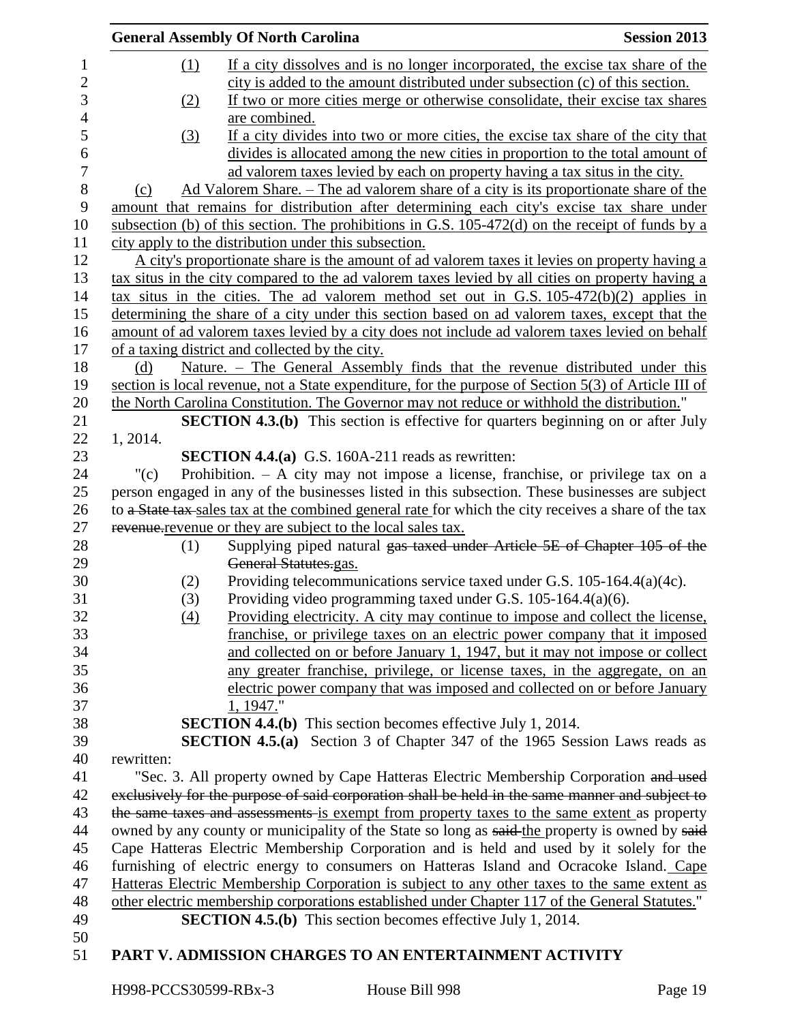|                  |            | <b>General Assembly Of North Carolina</b>                                                            | <b>Session 2013</b> |
|------------------|------------|------------------------------------------------------------------------------------------------------|---------------------|
| 1                | (1)        | If a city dissolves and is no longer incorporated, the excise tax share of the                       |                     |
| $\boldsymbol{2}$ |            | city is added to the amount distributed under subsection (c) of this section.                        |                     |
| $\mathfrak{Z}$   | (2)        | If two or more cities merge or otherwise consolidate, their excise tax shares                        |                     |
| $\overline{4}$   |            | are combined.                                                                                        |                     |
| 5                | (3)        | If a city divides into two or more cities, the excise tax share of the city that                     |                     |
| $\boldsymbol{6}$ |            | divides is allocated among the new cities in proportion to the total amount of                       |                     |
| $\overline{7}$   |            | ad valorem taxes levied by each on property having a tax situs in the city.                          |                     |
| $8\,$            | (c)        | Ad Valorem Share. - The ad valorem share of a city is its proportionate share of the                 |                     |
| 9                |            | amount that remains for distribution after determining each city's excise tax share under            |                     |
| 10               |            | subsection (b) of this section. The prohibitions in G.S. $105-472$ (d) on the receipt of funds by a  |                     |
| 11               |            | city apply to the distribution under this subsection.                                                |                     |
| 12               |            | A city's proportionate share is the amount of ad valorem taxes it levies on property having a        |                     |
| 13               |            | tax situs in the city compared to the ad valorem taxes levied by all cities on property having a     |                     |
| 14               |            | tax situs in the cities. The ad valorem method set out in G.S. $105-472(b)(2)$ applies in            |                     |
| 15               |            | determining the share of a city under this section based on ad valorem taxes, except that the        |                     |
| 16               |            | amount of ad valorem taxes levied by a city does not include ad valorem taxes levied on behalf       |                     |
| 17               |            | of a taxing district and collected by the city.                                                      |                     |
| 18               | (d)        | Nature. - The General Assembly finds that the revenue distributed under this                         |                     |
| 19               |            | section is local revenue, not a State expenditure, for the purpose of Section 5(3) of Article III of |                     |
| 20               |            | the North Carolina Constitution. The Governor may not reduce or withhold the distribution."          |                     |
| 21               |            | <b>SECTION 4.3.(b)</b> This section is effective for quarters beginning on or after July             |                     |
| 22               | 1, 2014.   |                                                                                                      |                     |
| 23               |            | <b>SECTION 4.4.(a)</b> G.S. 160A-211 reads as rewritten:                                             |                     |
| 24               | "(c)       | Prohibition. $-$ A city may not impose a license, franchise, or privilege tax on a                   |                     |
| 25               |            | person engaged in any of the businesses listed in this subsection. These businesses are subject      |                     |
| 26               |            | to a State tax sales tax at the combined general rate for which the city receives a share of the tax |                     |
| 27               |            | revenue revenue or they are subject to the local sales tax.                                          |                     |
| 28               | (1)        | Supplying piped natural gas taxed under Article 5E of Chapter 105 of the                             |                     |
| 29               |            | General Statutes.gas.                                                                                |                     |
| 30               | (2)        | Providing telecommunications service taxed under G.S. 105-164.4(a)(4c).                              |                     |
| 31               | (3)        | Providing video programming taxed under G.S. 105-164.4(a)(6).                                        |                     |
| 32               | (4)        | Providing electricity. A city may continue to impose and collect the license,                        |                     |
| 33               |            | franchise, or privilege taxes on an electric power company that it imposed                           |                     |
| 34               |            | and collected on or before January 1, 1947, but it may not impose or collect                         |                     |
| 35               |            | any greater franchise, privilege, or license taxes, in the aggregate, on an                          |                     |
| 36               |            | electric power company that was imposed and collected on or before January                           |                     |
| 37               |            | 1, 1947."                                                                                            |                     |
| 38               |            | <b>SECTION 4.4.(b)</b> This section becomes effective July 1, 2014.                                  |                     |
| 39               |            | <b>SECTION 4.5.(a)</b> Section 3 of Chapter 347 of the 1965 Session Laws reads as                    |                     |
| 40               | rewritten: |                                                                                                      |                     |
| 41               |            | "Sec. 3. All property owned by Cape Hatteras Electric Membership Corporation and used                |                     |
| 42               |            | exclusively for the purpose of said corporation shall be held in the same manner and subject to      |                     |
| 43               |            | the same taxes and assessments is exempt from property taxes to the same extent as property          |                     |
| 44               |            | owned by any county or municipality of the State so long as said-the property is owned by said-      |                     |
| 45               |            | Cape Hatteras Electric Membership Corporation and is held and used by it solely for the              |                     |
| 46               |            | furnishing of electric energy to consumers on Hatteras Island and Ocracoke Island. Cape              |                     |
| 47               |            | Hatteras Electric Membership Corporation is subject to any other taxes to the same extent as         |                     |
| 48               |            | other electric membership corporations established under Chapter 117 of the General Statutes."       |                     |
| 49               |            | <b>SECTION 4.5.(b)</b> This section becomes effective July 1, 2014.                                  |                     |
| 50               |            |                                                                                                      |                     |
| 51               |            | PART V. ADMISSION CHARGES TO AN ENTERTAINMENT ACTIVITY                                               |                     |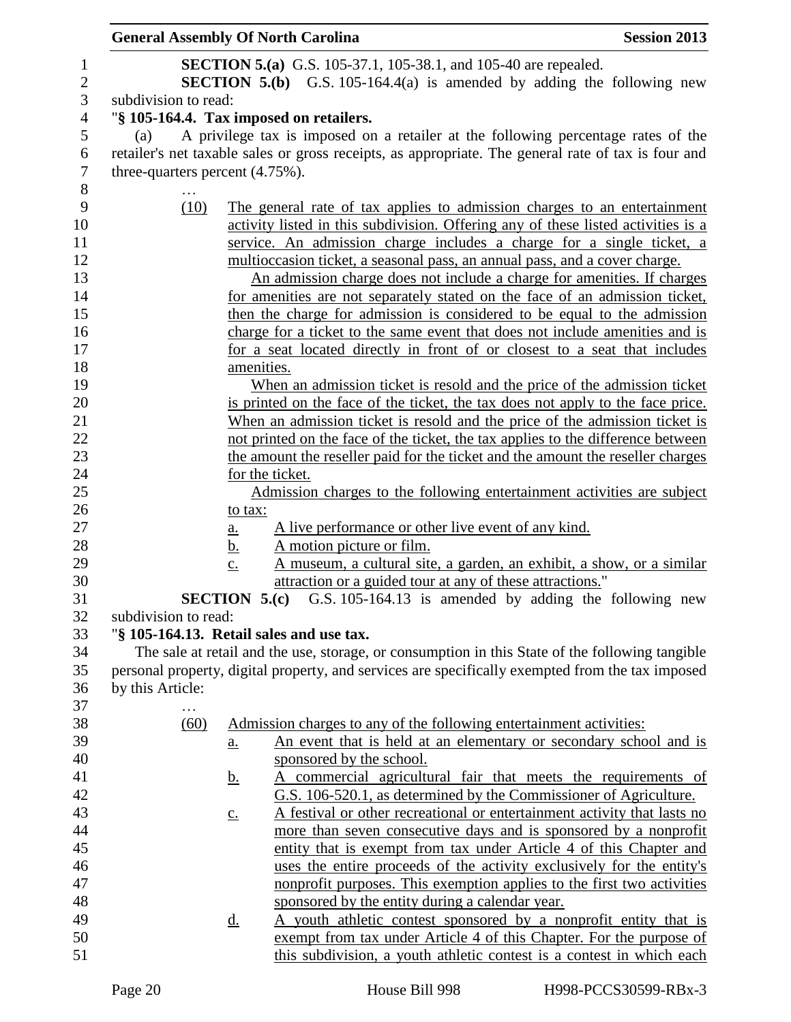| <b>General Assembly Of North Carolina</b> |                            |                                                                                                                                                         | <b>Session 2013</b> |
|-------------------------------------------|----------------------------|---------------------------------------------------------------------------------------------------------------------------------------------------------|---------------------|
|                                           |                            | <b>SECTION 5.(a)</b> G.S. 105-37.1, 105-38.1, and 105-40 are repealed.<br><b>SECTION 5.(b)</b> G.S. 105-164.4(a) is amended by adding the following new |                     |
| subdivision to read:                      |                            |                                                                                                                                                         |                     |
|                                           |                            | "§ 105-164.4. Tax imposed on retailers.                                                                                                                 |                     |
| (a)                                       |                            | A privilege tax is imposed on a retailer at the following percentage rates of the                                                                       |                     |
|                                           |                            | retailer's net taxable sales or gross receipts, as appropriate. The general rate of tax is four and                                                     |                     |
| three-quarters percent $(4.75\%)$ .       |                            |                                                                                                                                                         |                     |
|                                           |                            |                                                                                                                                                         |                     |
| (10)                                      |                            | The general rate of tax applies to admission charges to an entertainment                                                                                |                     |
|                                           |                            | activity listed in this subdivision. Offering any of these listed activities is a                                                                       |                     |
|                                           |                            | service. An admission charge includes a charge for a single ticket, a                                                                                   |                     |
|                                           |                            | multioccasion ticket, a seasonal pass, an annual pass, and a cover charge.                                                                              |                     |
|                                           |                            | An admission charge does not include a charge for amenities. If charges                                                                                 |                     |
|                                           |                            | for amenities are not separately stated on the face of an admission ticket,<br>then the charge for admission is considered to be equal to the admission |                     |
|                                           |                            | charge for a ticket to the same event that does not include amenities and is                                                                            |                     |
|                                           |                            | for a seat located directly in front of or closest to a seat that includes                                                                              |                     |
|                                           | amenities.                 |                                                                                                                                                         |                     |
|                                           |                            | When an admission ticket is resold and the price of the admission ticket                                                                                |                     |
|                                           |                            | is printed on the face of the ticket, the tax does not apply to the face price.                                                                         |                     |
|                                           |                            | When an admission ticket is resold and the price of the admission ticket is                                                                             |                     |
|                                           |                            | not printed on the face of the ticket, the tax applies to the difference between                                                                        |                     |
|                                           |                            | the amount the reseller paid for the ticket and the amount the reseller charges                                                                         |                     |
|                                           |                            | for the ticket.                                                                                                                                         |                     |
|                                           |                            | Admission charges to the following entertainment activities are subject                                                                                 |                     |
|                                           | to tax:                    |                                                                                                                                                         |                     |
|                                           | <u>a.</u>                  | A live performance or other live event of any kind.                                                                                                     |                     |
|                                           | <u>b.</u>                  | A motion picture or film.                                                                                                                               |                     |
|                                           | $\underline{c}$ .          | A museum, a cultural site, a garden, an exhibit, a show, or a similar                                                                                   |                     |
|                                           | <b>SECTION 5.(c)</b>       | attraction or a guided tour at any of these attractions."<br>G.S. 105-164.13 is amended by adding the following new                                     |                     |
| subdivision to read:                      |                            |                                                                                                                                                         |                     |
|                                           |                            | "§ 105-164.13. Retail sales and use tax.                                                                                                                |                     |
|                                           |                            | The sale at retail and the use, storage, or consumption in this State of the following tangible                                                         |                     |
|                                           |                            | personal property, digital property, and services are specifically exempted from the tax imposed                                                        |                     |
| by this Article:                          |                            |                                                                                                                                                         |                     |
|                                           |                            |                                                                                                                                                         |                     |
| (60)                                      |                            | Admission charges to any of the following entertainment activities:                                                                                     |                     |
|                                           | $\underline{\mathbf{a}}$ . | An event that is held at an elementary or secondary school and is                                                                                       |                     |
|                                           |                            | sponsored by the school.                                                                                                                                |                     |
|                                           | <u>b.</u>                  | A commercial agricultural fair that meets the requirements of                                                                                           |                     |
|                                           |                            | G.S. 106-520.1, as determined by the Commissioner of Agriculture.                                                                                       |                     |
|                                           | $\underline{c}$ .          | A festival or other recreational or entertainment activity that lasts no                                                                                |                     |
|                                           |                            | more than seven consecutive days and is sponsored by a nonprofit                                                                                        |                     |
|                                           |                            | entity that is exempt from tax under Article 4 of this Chapter and                                                                                      |                     |
|                                           |                            | uses the entire proceeds of the activity exclusively for the entity's                                                                                   |                     |
|                                           |                            | nonprofit purposes. This exemption applies to the first two activities                                                                                  |                     |
|                                           |                            | sponsored by the entity during a calendar year.                                                                                                         |                     |
|                                           | <u>d.</u>                  | A youth athletic contest sponsored by a nonprofit entity that is<br>exempt from tax under Article 4 of this Chapter. For the purpose of                 |                     |
|                                           |                            | this subdivision, a youth athletic contest is a contest in which each                                                                                   |                     |
|                                           |                            |                                                                                                                                                         |                     |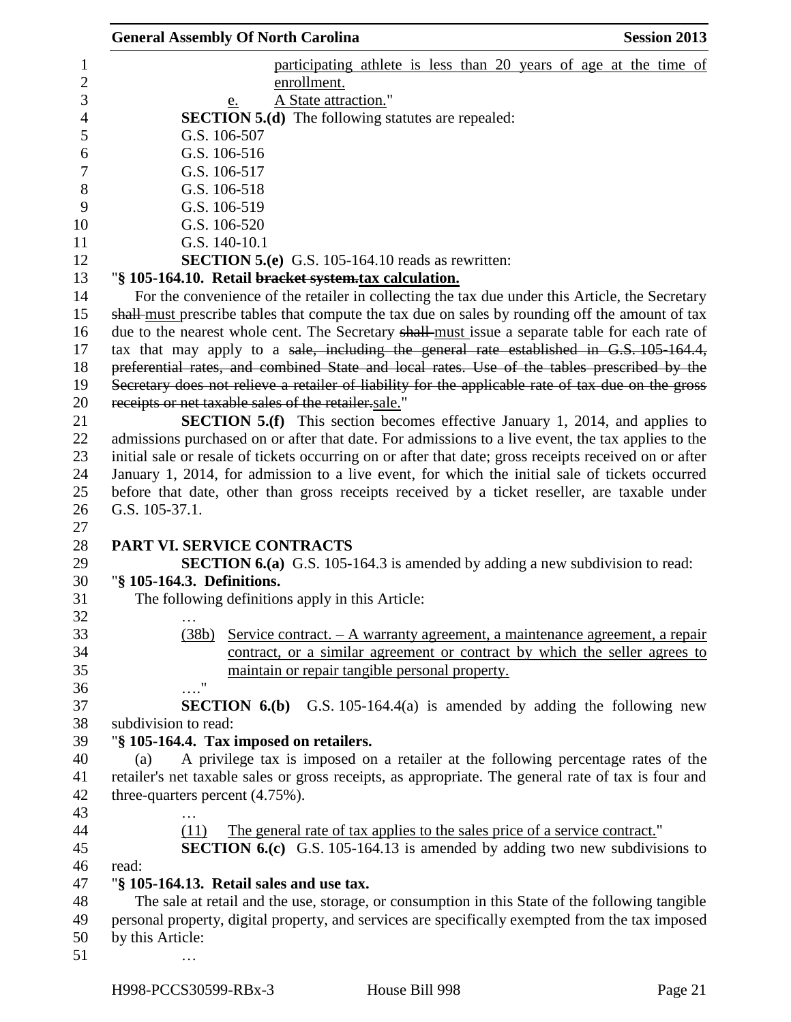|                                     | <b>General Assembly Of North Carolina</b>                                                                                                                                                 | <b>Session 2013</b> |
|-------------------------------------|-------------------------------------------------------------------------------------------------------------------------------------------------------------------------------------------|---------------------|
|                                     | participating athlete is less than 20 years of age at the time of                                                                                                                         |                     |
|                                     | enrollment.                                                                                                                                                                               |                     |
|                                     | A State attraction."<br>e.                                                                                                                                                                |                     |
|                                     | <b>SECTION 5.(d)</b> The following statutes are repealed:                                                                                                                                 |                     |
| G.S. 106-507                        |                                                                                                                                                                                           |                     |
| G.S. 106-516                        |                                                                                                                                                                                           |                     |
| G.S. 106-517                        |                                                                                                                                                                                           |                     |
| G.S. 106-518                        |                                                                                                                                                                                           |                     |
| G.S. 106-519                        |                                                                                                                                                                                           |                     |
| G.S. 106-520                        |                                                                                                                                                                                           |                     |
| G.S. 140-10.1                       |                                                                                                                                                                                           |                     |
|                                     | <b>SECTION 5.(e)</b> G.S. 105-164.10 reads as rewritten:                                                                                                                                  |                     |
|                                     | "§ 105-164.10. Retail bracket system.tax calculation.                                                                                                                                     |                     |
|                                     | For the convenience of the retailer in collecting the tax due under this Article, the Secretary                                                                                           |                     |
|                                     | shall-must prescribe tables that compute the tax due on sales by rounding off the amount of tax                                                                                           |                     |
|                                     | due to the nearest whole cent. The Secretary shall-must issue a separate table for each rate of                                                                                           |                     |
|                                     | tax that may apply to a sale, including the general rate established in G.S. 105-164.4,                                                                                                   |                     |
|                                     | preferential rates, and combined State and local rates. Use of the tables prescribed by the                                                                                               |                     |
|                                     | Secretary does not relieve a retailer of liability for the applicable rate of tax due on the gross                                                                                        |                     |
|                                     | receipts or net taxable sales of the retailer sale."                                                                                                                                      |                     |
|                                     |                                                                                                                                                                                           |                     |
|                                     | <b>SECTION 5.(f)</b> This section becomes effective January 1, 2014, and applies to<br>admissions purchased on or after that date. For admissions to a live event, the tax applies to the |                     |
|                                     | initial sale or resale of tickets occurring on or after that date; gross receipts received on or after                                                                                    |                     |
|                                     |                                                                                                                                                                                           |                     |
|                                     | January 1, 2014, for admission to a live event, for which the initial sale of tickets occurred                                                                                            |                     |
| G.S. 105-37.1.                      | before that date, other than gross receipts received by a ticket reseller, are taxable under                                                                                              |                     |
|                                     |                                                                                                                                                                                           |                     |
|                                     | PART VI. SERVICE CONTRACTS                                                                                                                                                                |                     |
|                                     | <b>SECTION 6.(a)</b> G.S. 105-164.3 is amended by adding a new subdivision to read:                                                                                                       |                     |
| "§ 105-164.3. Definitions.          |                                                                                                                                                                                           |                     |
|                                     | The following definitions apply in this Article:                                                                                                                                          |                     |
|                                     |                                                                                                                                                                                           |                     |
| $\cdots$                            |                                                                                                                                                                                           |                     |
| (38b)                               | <u>Service contract. – A warranty agreement, a maintenance agreement, a repair</u><br>contract, or a similar agreement or contract by which the seller agrees to                          |                     |
|                                     | maintain or repair tangible personal property.                                                                                                                                            |                     |
| $\pmb{\mathsf{H}}$                  |                                                                                                                                                                                           |                     |
|                                     |                                                                                                                                                                                           |                     |
|                                     | <b>SECTION 6.(b)</b> G.S. 105-164.4(a) is amended by adding the following new                                                                                                             |                     |
| subdivision to read:                |                                                                                                                                                                                           |                     |
|                                     | "§ 105-164.4. Tax imposed on retailers.                                                                                                                                                   |                     |
| (a)                                 | A privilege tax is imposed on a retailer at the following percentage rates of the                                                                                                         |                     |
|                                     | retailer's net taxable sales or gross receipts, as appropriate. The general rate of tax is four and                                                                                       |                     |
| three-quarters percent $(4.75\%)$ . |                                                                                                                                                                                           |                     |
|                                     |                                                                                                                                                                                           |                     |
| (11)                                | The general rate of tax applies to the sales price of a service contract."                                                                                                                |                     |
|                                     | <b>SECTION 6.(c)</b> G.S. 105-164.13 is amended by adding two new subdivisions to                                                                                                         |                     |
| read:                               |                                                                                                                                                                                           |                     |
|                                     | "§ 105-164.13. Retail sales and use tax.                                                                                                                                                  |                     |
|                                     | The sale at retail and the use, storage, or consumption in this State of the following tangible                                                                                           |                     |
|                                     | personal property, digital property, and services are specifically exempted from the tax imposed                                                                                          |                     |
| by this Article:                    |                                                                                                                                                                                           |                     |
|                                     |                                                                                                                                                                                           |                     |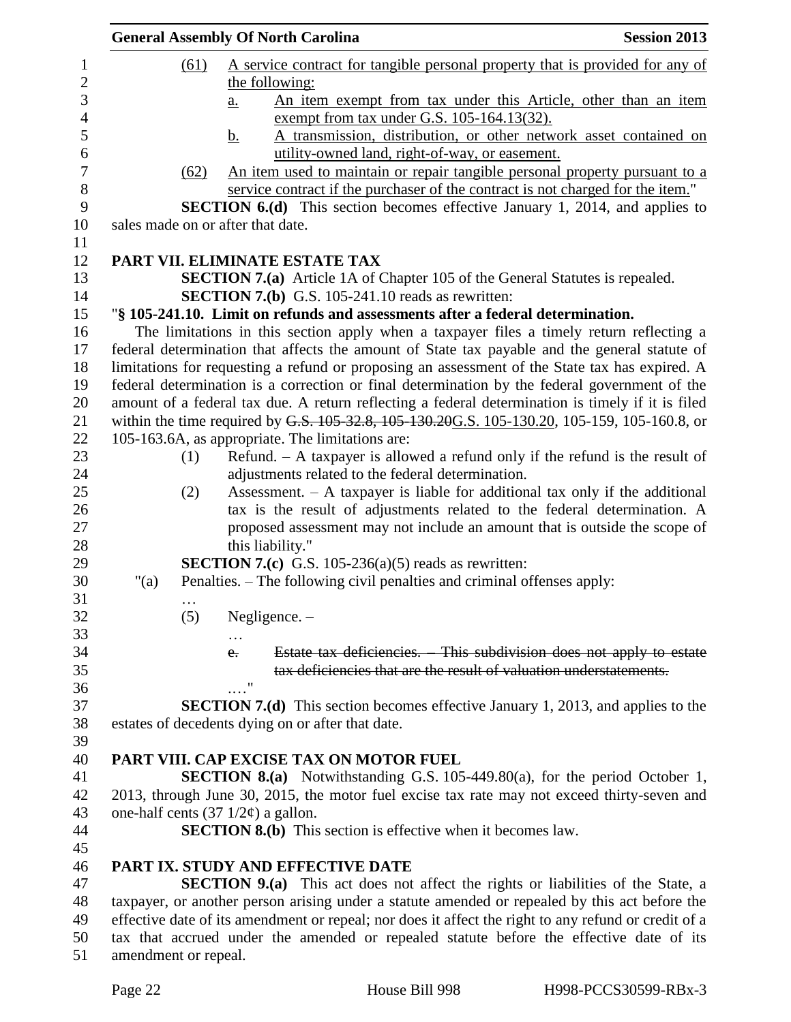|                  |                      |      | <b>General Assembly Of North Carolina</b>                                                            | <b>Session 2013</b> |
|------------------|----------------------|------|------------------------------------------------------------------------------------------------------|---------------------|
| $\mathbf{1}$     |                      | (61) | A service contract for tangible personal property that is provided for any of                        |                     |
| $\overline{2}$   |                      |      | the following:                                                                                       |                     |
| $\mathfrak{Z}$   |                      |      | An item exempt from tax under this Article, other than an item<br>$a_{\cdot}$                        |                     |
| $\overline{4}$   |                      |      | exempt from tax under G.S. 105-164.13(32).                                                           |                     |
| 5                |                      |      | A transmission, distribution, or other network asset contained on<br>$\mathbf{b}$ .                  |                     |
| 6                |                      |      | utility-owned land, right-of-way, or easement.                                                       |                     |
| $\boldsymbol{7}$ |                      | (62) | An item used to maintain or repair tangible personal property pursuant to a                          |                     |
| $\, 8$           |                      |      | service contract if the purchaser of the contract is not charged for the item."                      |                     |
| 9                |                      |      | <b>SECTION 6.(d)</b> This section becomes effective January 1, 2014, and applies to                  |                     |
| 10               |                      |      | sales made on or after that date.                                                                    |                     |
| 11               |                      |      |                                                                                                      |                     |
| 12               |                      |      | PART VII. ELIMINATE ESTATE TAX                                                                       |                     |
| 13               |                      |      | <b>SECTION 7.(a)</b> Article 1A of Chapter 105 of the General Statutes is repealed.                  |                     |
| 14               |                      |      | <b>SECTION 7.(b)</b> G.S. 105-241.10 reads as rewritten:                                             |                     |
| 15               |                      |      | "§ 105-241.10. Limit on refunds and assessments after a federal determination.                       |                     |
| 16               |                      |      | The limitations in this section apply when a taxpayer files a timely return reflecting a             |                     |
| 17               |                      |      | federal determination that affects the amount of State tax payable and the general statute of        |                     |
| 18               |                      |      | limitations for requesting a refund or proposing an assessment of the State tax has expired. A       |                     |
| 19               |                      |      | federal determination is a correction or final determination by the federal government of the        |                     |
| 20               |                      |      | amount of a federal tax due. A return reflecting a federal determination is timely if it is filed    |                     |
| 21               |                      |      | within the time required by G.S. 105-32.8, 105-130.20G.S. 105-130.20, 105-159, 105-160.8, or         |                     |
| 22               |                      |      | 105-163.6A, as appropriate. The limitations are:                                                     |                     |
| 23               |                      | (1)  | Refund. $-$ A taxpayer is allowed a refund only if the refund is the result of                       |                     |
| 24               |                      |      | adjustments related to the federal determination.                                                    |                     |
| 25               |                      | (2)  | Assessment. $-$ A taxpayer is liable for additional tax only if the additional                       |                     |
| 26               |                      |      | tax is the result of adjustments related to the federal determination. A                             |                     |
| 27               |                      |      | proposed assessment may not include an amount that is outside the scope of                           |                     |
| 28               |                      |      | this liability."                                                                                     |                     |
| 29               |                      |      | <b>SECTION 7.(c)</b> G.S. 105-236(a)(5) reads as rewritten:                                          |                     |
| 30               | " $(a)$              |      | Penalties. – The following civil penalties and criminal offenses apply:                              |                     |
| 31               |                      |      |                                                                                                      |                     |
| 32               |                      | (5)  | Negligence. $-$                                                                                      |                     |
| 33               |                      |      |                                                                                                      |                     |
| 34               |                      |      | Estate tax deficiencies. This subdivision does not apply to estate<br>$e_{\tau}$                     |                     |
| 35               |                      |      | tax deficiencies that are the result of valuation understatements.                                   |                     |
| 36               |                      |      | $^{\prime\prime}$                                                                                    |                     |
| 37               |                      |      | <b>SECTION 7.(d)</b> This section becomes effective January 1, 2013, and applies to the              |                     |
| 38               |                      |      | estates of decedents dying on or after that date.                                                    |                     |
| 39               |                      |      |                                                                                                      |                     |
| 40               |                      |      | PART VIII. CAP EXCISE TAX ON MOTOR FUEL                                                              |                     |
| 41               |                      |      | <b>SECTION 8.(a)</b> Notwithstanding G.S. 105-449.80(a), for the period October 1,                   |                     |
| 42               |                      |      | 2013, through June 30, 2015, the motor fuel excise tax rate may not exceed thirty-seven and          |                     |
| 43               |                      |      | one-half cents $(37 \frac{1}{2}\phi)$ a gallon.                                                      |                     |
| 44               |                      |      | <b>SECTION 8.(b)</b> This section is effective when it becomes law.                                  |                     |
| 45               |                      |      |                                                                                                      |                     |
| 46               |                      |      | <b>PART IX. STUDY AND EFFECTIVE DATE</b>                                                             |                     |
| 47               |                      |      | <b>SECTION 9.(a)</b> This act does not affect the rights or liabilities of the State, a              |                     |
| 48               |                      |      | taxpayer, or another person arising under a statute amended or repealed by this act before the       |                     |
| 49               |                      |      | effective date of its amendment or repeal; nor does it affect the right to any refund or credit of a |                     |
| 50               |                      |      | tax that accrued under the amended or repealed statute before the effective date of its              |                     |
| 51               | amendment or repeal. |      |                                                                                                      |                     |
|                  |                      |      |                                                                                                      |                     |